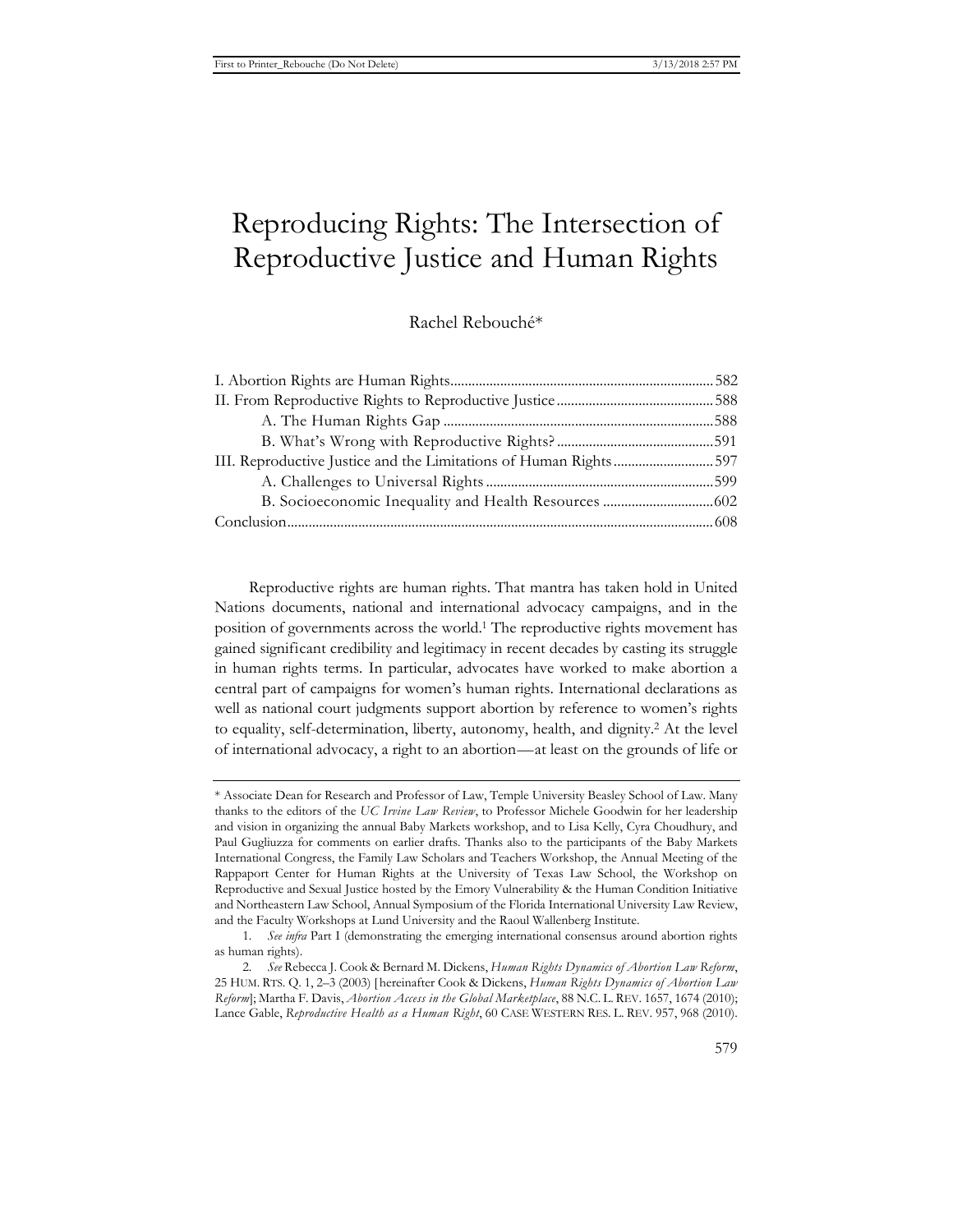# Reproducing Rights: The Intersection of Reproductive Justice and Human Rights

Rachel Rebouché\*

| III. Reproductive Justice and the Limitations of Human Rights597 |  |
|------------------------------------------------------------------|--|
|                                                                  |  |
|                                                                  |  |
|                                                                  |  |
|                                                                  |  |

Reproductive rights are human rights. That mantra has taken hold in United Nations documents, national and international advocacy campaigns, and in the position of governments across the world.1 The reproductive rights movement has gained significant credibility and legitimacy in recent decades by casting its struggle in human rights terms. In particular, advocates have worked to make abortion a central part of campaigns for women's human rights. International declarations as well as national court judgments support abortion by reference to women's rights to equality, self-determination, liberty, autonomy, health, and dignity.2 At the level of international advocacy, a right to an abortion—at least on the grounds of life or

<sup>\*</sup> Associate Dean for Research and Professor of Law, Temple University Beasley School of Law. Many thanks to the editors of the *UC Irvine Law Review*, to Professor Michele Goodwin for her leadership and vision in organizing the annual Baby Markets workshop, and to Lisa Kelly, Cyra Choudhury, and Paul Gugliuzza for comments on earlier drafts. Thanks also to the participants of the Baby Markets International Congress, the Family Law Scholars and Teachers Workshop, the Annual Meeting of the Rappaport Center for Human Rights at the University of Texas Law School, the Workshop on Reproductive and Sexual Justice hosted by the Emory Vulnerability & the Human Condition Initiative and Northeastern Law School, Annual Symposium of the Florida International University Law Review, and the Faculty Workshops at Lund University and the Raoul Wallenberg Institute.

<sup>1</sup>*. See infra* Part I (demonstrating the emerging international consensus around abortion rights as human rights).

<sup>2</sup>*. See* Rebecca J. Cook & Bernard M. Dickens, *Human Rights Dynamics of Abortion Law Reform*, 25 HUM. RTS. Q. 1, 2–3 (2003) [ hereinafter Cook & Dickens, *Human Rights Dynamics of Abortion Law Reform*]; Martha F. Davis, *Abortion Access in the Global Marketplace*, 88 N.C. L. REV. 1657, 1674 (2010); Lance Gable, *Reproductive Health as a Human Right*, 60 CASE WESTERN RES. L. REV. 957, 968 (2010).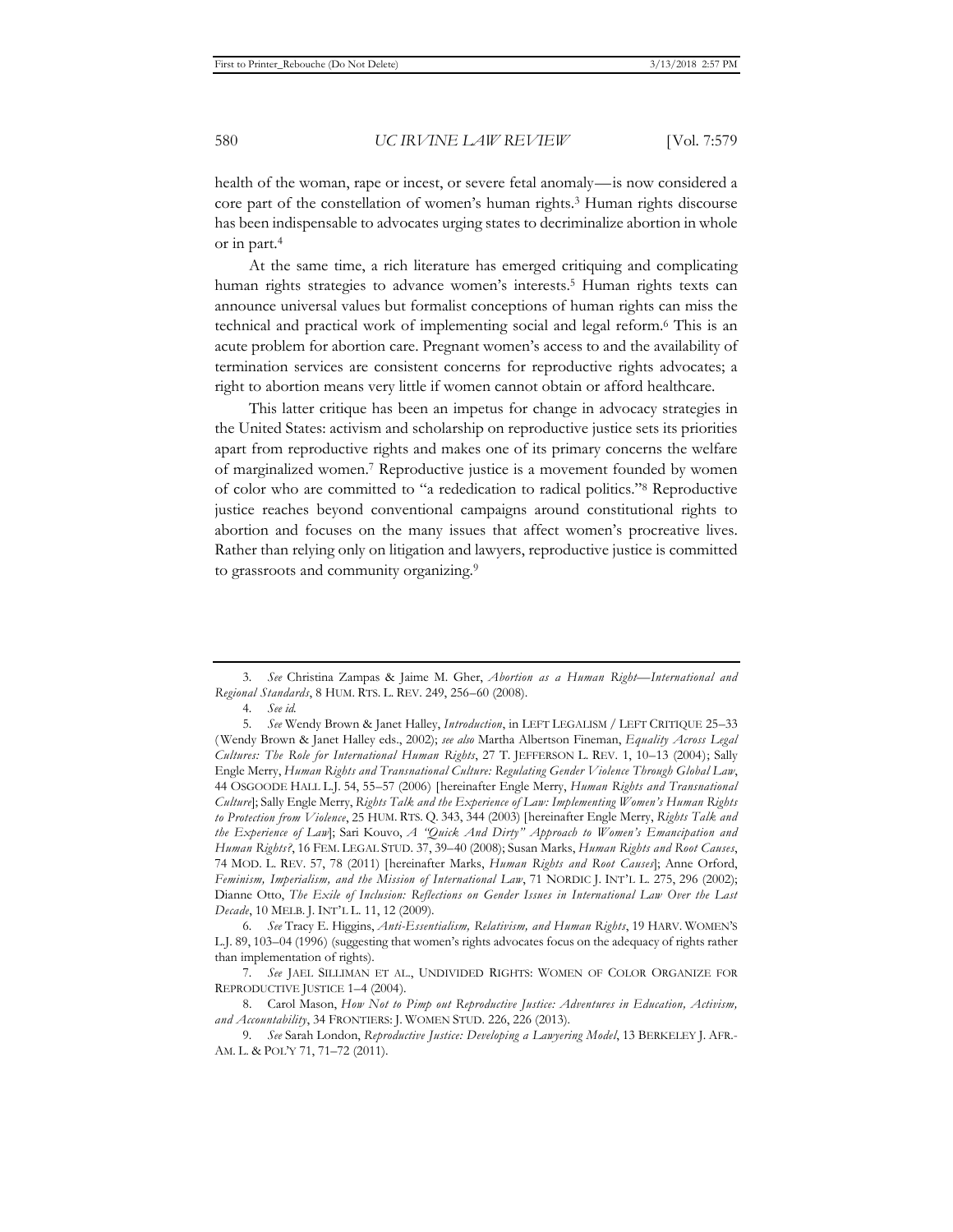health of the woman, rape or incest, or severe fetal anomaly—is now considered a core part of the constellation of women's human rights.3 Human rights discourse has been indispensable to advocates urging states to decriminalize abortion in whole or in part.4

At the same time, a rich literature has emerged critiquing and complicating human rights strategies to advance women's interests.<sup>5</sup> Human rights texts can announce universal values but formalist conceptions of human rights can miss the technical and practical work of implementing social and legal reform.6 This is an acute problem for abortion care. Pregnant women's access to and the availability of termination services are consistent concerns for reproductive rights advocates; a right to abortion means very little if women cannot obtain or afford healthcare.

This latter critique has been an impetus for change in advocacy strategies in the United States: activism and scholarship on reproductive justice sets its priorities apart from reproductive rights and makes one of its primary concerns the welfare of marginalized women.7 Reproductive justice is a movement founded by women of color who are committed to "a rededication to radical politics."8 Reproductive justice reaches beyond conventional campaigns around constitutional rights to abortion and focuses on the many issues that affect women's procreative lives. Rather than relying only on litigation and lawyers, reproductive justice is committed to grassroots and community organizing.<sup>9</sup>

<sup>3</sup>*. See* Christina Zampas & Jaime M. Gher, *Abortion as a Human Right—International and Regional Standards*, 8 HUM. RTS. L. REV. 249, 256–60 (2008).

<sup>4</sup>*. See id.* 

<sup>5</sup>*. See* Wendy Brown & Janet Halley, *Introduction*, in LEFT LEGALISM / LEFT CRITIQUE 25–33 ( Wendy Brown & Janet Halley eds., 2002); *see also* Martha Albertson Fineman, *Equality Across Legal Cultures: The Role for International Human Rights*, 27 T. JEFFERSON L. REV. 1, 10–13 (2004); Sally Engle Merry, *Human Rights and Transnational Culture: Regulating Gender Violence Through Global Law*, 44 OSGOODE HALL L.J. 54, 55–57 (2006) [hereinafter Engle Merry, *Human Rights and Transnational Culture*]; Sally Engle Merry, *Rights Talk and the Experience of Law: Implementing Women's Human Rights to Protection from Violence*, 25 HUM. RTS. Q. 343, 344 (2003) [hereinafter Engle Merry, *Rights Talk and the Experience of Law*]; Sari Kouvo, *A "Quick And Dirty" Approach to Women's Emancipation and Human Rights?*, 16 FEM. LEGAL STUD. 37, 39–40 (2008); Susan Marks, *Human Rights and Root Causes*, 74 MOD. L. REV. 57, 78 (2011) [hereinafter Marks, *Human Rights and Root Causes*]; Anne Orford, *Feminism, Imperialism, and the Mission of International Law*, 71 NORDIC J. INT'L L. 275, 296 (2002); Dianne Otto, *The Exile of Inclusion: Reflections on Gender Issues in International Law Over the Last Decade*, 10 MELB. J. INT'L L. 11, 12 (2009).

<sup>6</sup>*. See* Tracy E. Higgins, *Anti-Essentialism, Relativism, and Human Rights*, 19 HARV. WOMEN'S L.J. 89, 103–04 (1996) (suggesting that women's rights advocates focus on the adequacy of rights rather than implementation of rights).

<sup>7</sup>*. See* JAEL SILLIMAN ET AL., UNDIVIDED RIGHTS: WOMEN OF COLOR ORGANIZE FOR REPRODUCTIVE JUSTICE 1–4 (2004).

<sup>8.</sup> Carol Mason, *How Not to Pimp out Reproductive Justice: Adventures in Education, Activism, and Accountability*, 34 FRONTIERS: J. WOMEN STUD. 226, 226 (2013).

<sup>9</sup>*. See* Sarah London, *Reproductive Justice: Developing a Lawyering Model*, 13 BERKELEY J. AFR.- AM. L. & POL'Y 71, 71–72 (2011).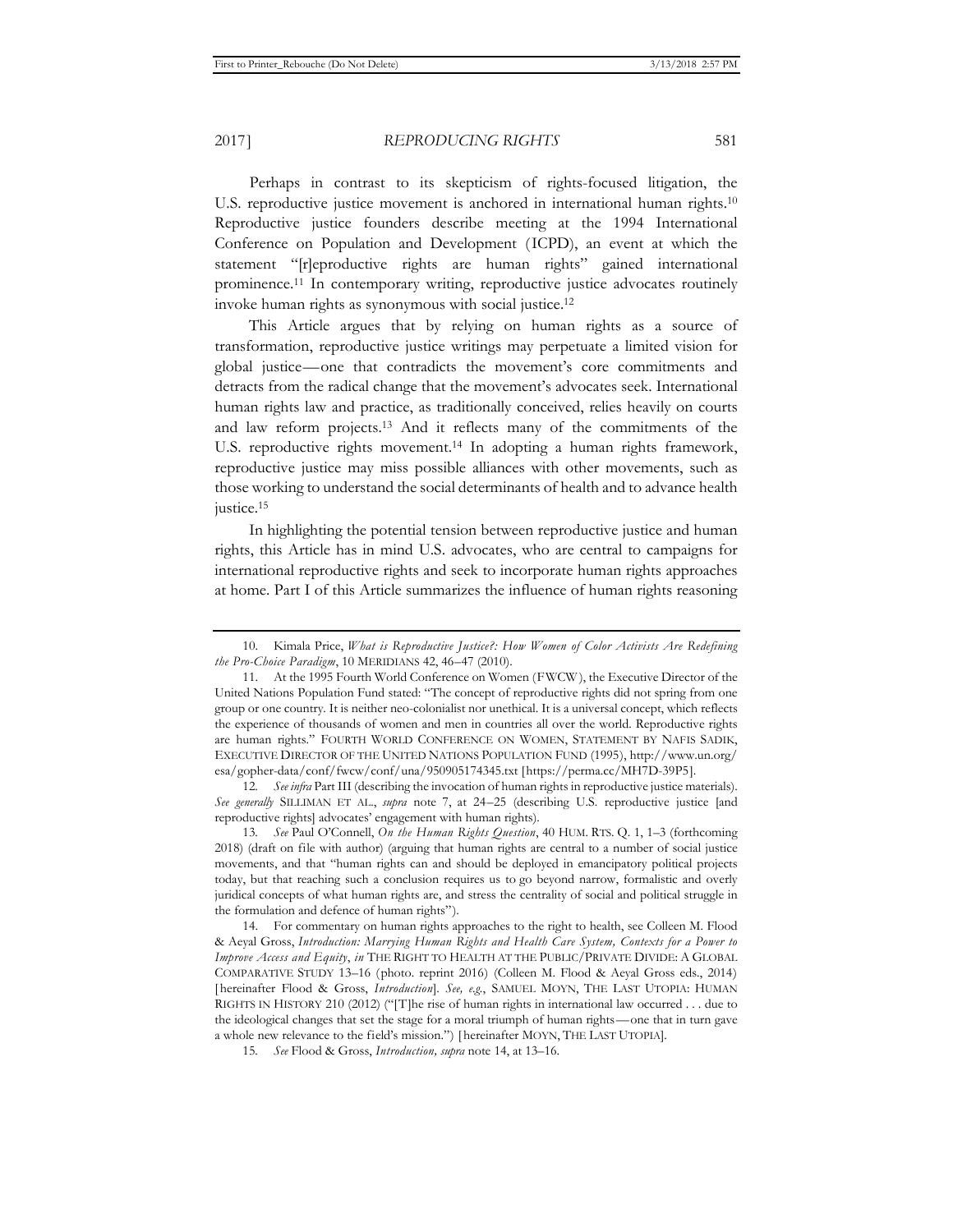2017] *REPRODUCING RIGHTS* 581

Perhaps in contrast to its skepticism of rights-focused litigation, the U.S. reproductive justice movement is anchored in international human rights.<sup>10</sup> Reproductive justice founders describe meeting at the 1994 International Conference on Population and Development (ICPD), an event at which the statement "[r]eproductive rights are human rights" gained international prominence.11 In contemporary writing, reproductive justice advocates routinely invoke human rights as synonymous with social justice.12

This Article argues that by relying on human rights as a source of transformation, reproductive justice writings may perpetuate a limited vision for global justice—one that contradicts the movement's core commitments and detracts from the radical change that the movement's advocates seek. International human rights law and practice, as traditionally conceived, relies heavily on courts and law reform projects.13 And it reflects many of the commitments of the U.S. reproductive rights movement.<sup>14</sup> In adopting a human rights framework, reproductive justice may miss possible alliances with other movements, such as those working to understand the social determinants of health and to advance health justice.<sup>15</sup>

In highlighting the potential tension between reproductive justice and human rights, this Article has in mind U.S. advocates, who are central to campaigns for international reproductive rights and seek to incorporate human rights approaches at home. Part I of this Article summarizes the influence of human rights reasoning

12*. See infra* Part III (describing the invocation of human rights in reproductive justice materials). *See generally* SILLIMAN ET AL., *supra* note 7, at 24–25 (describing U.S. reproductive justice [and reproductive rights] advocates' engagement with human rights).

13*. See* Paul O'Connell, *On the Human Rights Question*, 40 HUM. RTS. Q. 1, 1*–*3 (forthcoming 2018) (draft on file with author) (arguing that human rights are central to a number of social justice movements, and that "human rights can and should be deployed in emancipatory political projects today, but that reaching such a conclusion requires us to go beyond narrow, formalistic and overly juridical concepts of what human rights are, and stress the centrality of social and political struggle in the formulation and defence of human rights").

14. For commentary on human rights approaches to the right to health, see Colleen M. Flood & Aeyal Gross, *Introduction: Marrying Human Rights and Health Care System, Contexts for a Power to Improve Access and Equity*, *in* THE RIGHT TO HEALTH AT THE PUBLIC/PRIVATE DIVIDE: A GLOBAL COMPARATIVE STUDY 13–16 (photo. reprint 2016) (Colleen M. Flood & Aeyal Gross eds., 2014) [ hereinafter Flood & Gross, *Introduction*]. *See, e.g.*, SAMUEL MOYN, THE LAST UTOPIA: HUMAN RIGHTS IN HISTORY 210 (2012) ("[T]he rise of human rights in international law occurred  $\dots$  due to the ideological changes that set the stage for a moral triumph of human rights—one that in turn gave a whole new relevance to the field's mission.") [ hereinafter MOYN, THE LAST UTOPIA].

<sup>10.</sup> Kimala Price, *What is Reproductive Justice?: How Women of Color Activists Are Redefining the Pro-Choice Paradigm*, 10 MERIDIANS 42, 46–47 (2010).

<sup>11.</sup> At the 1995 Fourth World Conference on Women (FWCW ), the Executive Director of the United Nations Population Fund stated: "The concept of reproductive rights did not spring from one group or one country. It is neither neo-colonialist nor unethical. It is a universal concept, which reflects the experience of thousands of women and men in countries all over the world. Reproductive rights are human rights." FOURTH WORLD CONFERENCE ON WOMEN, STATEMENT BY NAFIS SADIK, EXECUTIVE DIRECTOR OF THE UNITED NATIONS POPULATION FUND (1995), http://www.un.org/ esa/gopher-data/conf/fwcw/conf/una/950905174345.txt [https://perma.cc/MH7D-39P5].

<sup>15</sup>*. See* Flood & Gross, *Introduction, supra* note 14, at 13–16.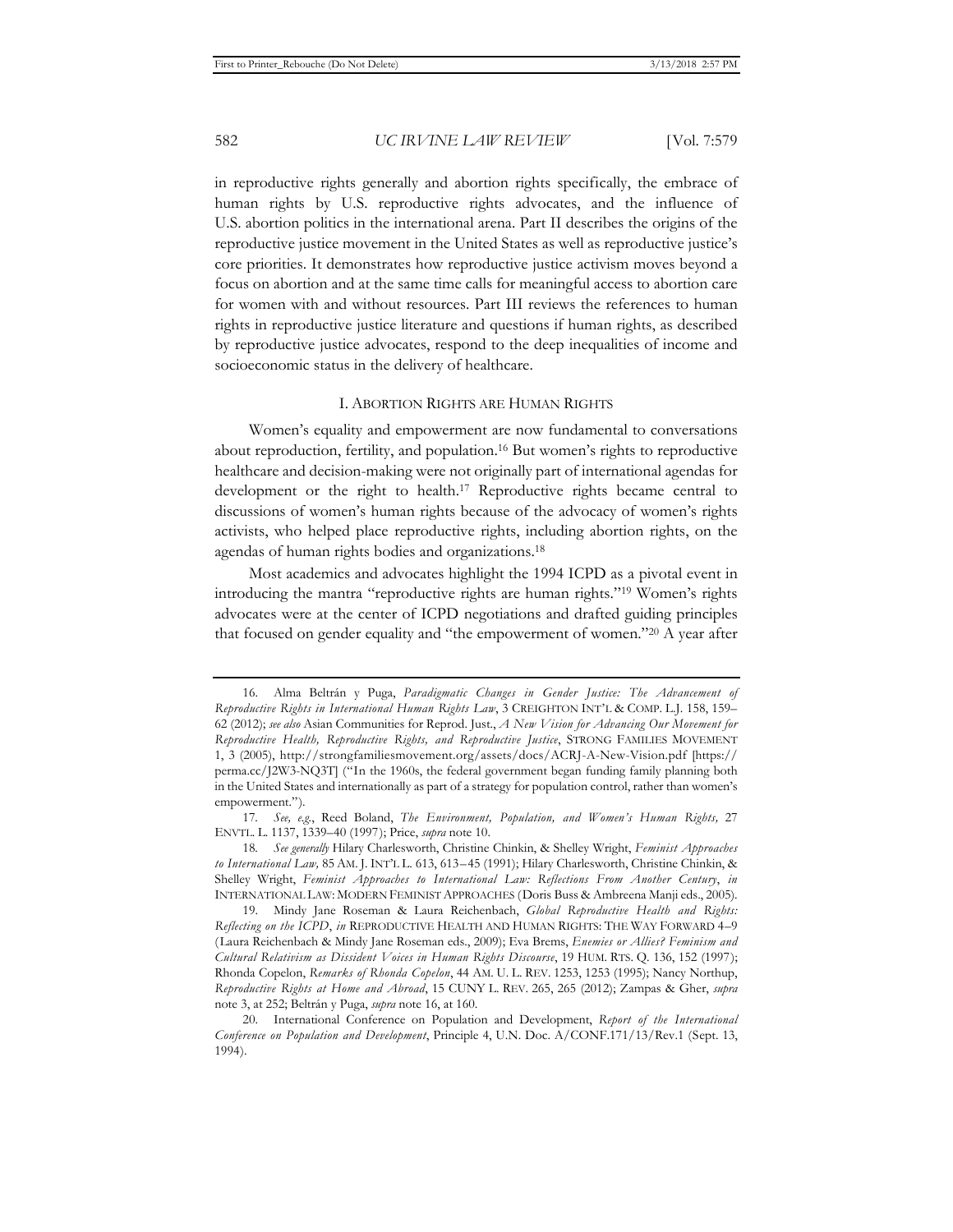in reproductive rights generally and abortion rights specifically, the embrace of human rights by U.S. reproductive rights advocates, and the influence of U.S. abortion politics in the international arena. Part II describes the origins of the reproductive justice movement in the United States as well as reproductive justice's core priorities. It demonstrates how reproductive justice activism moves beyond a focus on abortion and at the same time calls for meaningful access to abortion care for women with and without resources. Part III reviews the references to human rights in reproductive justice literature and questions if human rights, as described by reproductive justice advocates, respond to the deep inequalities of income and socioeconomic status in the delivery of healthcare.

#### I. ABORTION RIGHTS ARE HUMAN RIGHTS

Women's equality and empowerment are now fundamental to conversations about reproduction, fertility, and population.16 But women's rights to reproductive healthcare and decision-making were not originally part of international agendas for development or the right to health.17 Reproductive rights became central to discussions of women's human rights because of the advocacy of women's rights activists, who helped place reproductive rights, including abortion rights, on the agendas of human rights bodies and organizations.18

Most academics and advocates highlight the 1994 ICPD as a pivotal event in introducing the mantra "reproductive rights are human rights."19 Women's rights advocates were at the center of ICPD negotiations and drafted guiding principles that focused on gender equality and "the empowerment of women."20 A year after

<sup>16.</sup> Alma Beltrán y Puga, *Paradigmatic Changes in Gender Justice: The Advancement of Reproductive Rights in International Human Rights Law*, 3 CREIGHTON INT'L & COMP. L.J. 158, 159– 62 (2012); *see also* Asian Communities for Reprod. Just., *A New Vision for Advancing Our Movement for Reproductive Health, Reproductive Rights, and Reproductive Justice*, STRONG FAMILIES MOVEMENT 1, 3 (2005), http://strongfamiliesmovement.org/assets/docs/ACRJ-A-New-Vision.pdf [https:// perma.cc/J2W3-NQ3T] ("In the 1960s, the federal government began funding family planning both in the United States and internationally as part of a strategy for population control, rather than women's empowerment.").

<sup>17</sup>*. See, e.g.*, Reed Boland, *The Environment, Population, and Women's Human Rights,* 27 ENVTL. L. 1137, 1339–40 (1997); Price, *supra* note 10.

<sup>18</sup>*. See generally* Hilary Charlesworth, Christine Chinkin, & Shelley Wright, *Feminist Approaches to International Law,* 85 AM. J. INT'L L. 613, 613–45 (1991); Hilary Charlesworth, Christine Chinkin, & Shelley Wright, *Feminist Approaches to International Law: Reflections From Another Century*, *in* INTERNATIONAL LAW: MODERN FEMINIST APPROACHES (Doris Buss & Ambreena Manji eds., 2005).

<sup>19.</sup> Mindy Jane Roseman & Laura Reichenbach, *Global Reproductive Health and Rights: Reflecting on the ICPD*, *in* REPRODUCTIVE HEALTH AND HUMAN RIGHTS: THE WAY FORWARD 4–9 (Laura Reichenbach & Mindy Jane Roseman eds., 2009); Eva Brems, *Enemies or Allies? Feminism and Cultural Relativism as Dissident Voices in Human Rights Discourse*, 19 HUM. RTS. Q. 136, 152 (1997); Rhonda Copelon, *Remarks of Rhonda Copelon*, 44 AM. U. L. REV. 1253, 1253 (1995); Nancy Northup, *Reproductive Rights at Home and Abroad*, 15 CUNY L. REV. 265, 265 (2012); Zampas & Gher, *supra*  note 3, at 252; Beltrán y Puga, *supra* note 16, at 160.

<sup>20.</sup> International Conference on Population and Development, *Report of the International Conference on Population and Development*, Principle 4, U.N. Doc. A/CONF.171/13/Rev.1 (Sept. 13, 1994).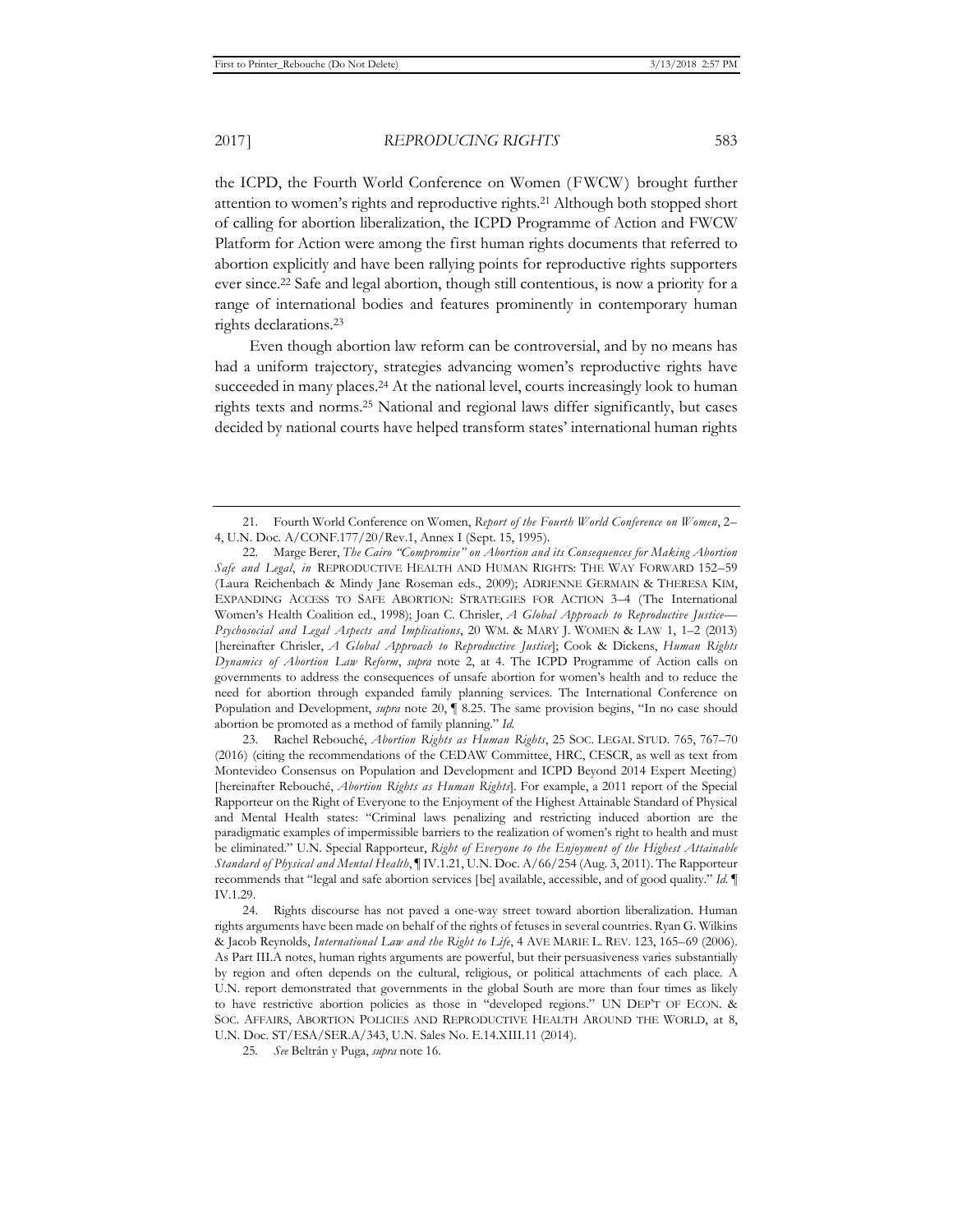the ICPD, the Fourth World Conference on Women (FWCW) brought further attention to women's rights and reproductive rights.21 Although both stopped short of calling for abortion liberalization, the ICPD Programme of Action and FWCW Platform for Action were among the first human rights documents that referred to abortion explicitly and have been rallying points for reproductive rights supporters ever since.22 Safe and legal abortion, though still contentious, is now a priority for a range of international bodies and features prominently in contemporary human rights declarations.23

Even though abortion law reform can be controversial, and by no means has had a uniform trajectory, strategies advancing women's reproductive rights have succeeded in many places.<sup>24</sup> At the national level, courts increasingly look to human rights texts and norms.25 National and regional laws differ significantly, but cases decided by national courts have helped transform states' international human rights

23. Rachel Rebouché, *Abortion Rights as Human Rights*, 25 SOC. LEGAL STUD. 765, 767–70 (2016) (citing the recommendations of the CEDAW Committee, HRC, CESCR, as well as text from Montevideo Consensus on Population and Development and ICPD Beyond 2014 Expert Meeting) [hereinafter Rebouché, *Abortion Rights as Human Rights*]. For example, a 2011 report of the Special Rapporteur on the Right of Everyone to the Enjoyment of the Highest Attainable Standard of Physical and Mental Health states: "Criminal laws penalizing and restricting induced abortion are the paradigmatic examples of impermissible barriers to the realization of women's right to health and must be eliminated." U.N. Special Rapporteur, *Right of Everyone to the Enjoyment of the Highest Attainable Standard of Physical and Mental Health*, ¶ IV.1.21, U.N. Doc. A/66/254 (Aug. 3, 2011). The Rapporteur recommends that "legal and safe abortion services [be] available, accessible, and of good quality." *Id.* ¶ IV.1.29.

<sup>21.</sup> Fourth World Conference on Women, *Report of the Fourth World Conference on Women*, 2– 4, U.N. Doc. A/CONF.177/20/Rev.1, Annex I (Sept. 15, 1995).

<sup>22.</sup> Marge Berer, *The Cairo "Compromise" on Abortion and its Consequences for Making Abortion Safe and Legal*, *in* REPRODUCTIVE HEALTH AND HUMAN RIGHTS: THE WAY FORWARD 152–59 (Laura Reichenbach & Mindy Jane Roseman eds., 2009); ADRIENNE GERMAIN & THERESA KIM, EXPANDING ACCESS TO SAFE ABORTION: STRATEGIES FOR ACTION 3–4 (The International Women's Health Coalition ed., 1998); Joan C. Chrisler, *A Global Approach to Reproductive Justice— Psychosocial and Legal Aspects and Implications*, 20 WM. & MARY J. WOMEN & LAW 1, 1–2 (2013) [hereinafter Chrisler, *A Global Approach to Reproductive Justice*]; Cook & Dickens, *Human Rights Dynamics of Abortion Law Reform*, *supra* note 2, at 4. The ICPD Programme of Action calls on governments to address the consequences of unsafe abortion for women's health and to reduce the need for abortion through expanded family planning services. The International Conference on Population and Development, *supra* note 20, ¶ 8.25. The same provision begins, "In no case should abortion be promoted as a method of family planning." *Id.*

<sup>24.</sup> Rights discourse has not paved a one-way street toward abortion liberalization. Human rights arguments have been made on behalf of the rights of fetuses in several countries. Ryan G. Wilkins & Jacob Reynolds, *International Law and the Right to Life*, 4 AVE MARIE L. REV. 123, 165–69 (2006). As Part III.A notes, human rights arguments are powerful, but their persuasiveness varies substantially by region and often depends on the cultural, religious, or political attachments of each place. A U.N. report demonstrated that governments in the global South are more than four times as likely to have restrictive abortion policies as those in "developed regions." UN DEP'T OF ECON. & SOC. AFFAIRS, ABORTION POLICIES AND REPRODUCTIVE HEALTH AROUND THE WORLD, at 8, U.N. Doc. ST/ESA/SER.A/343, U.N. Sales No. E.14.XIII.11 (2014).

<sup>25</sup>*. See* Beltrán y Puga, *supra* note 16.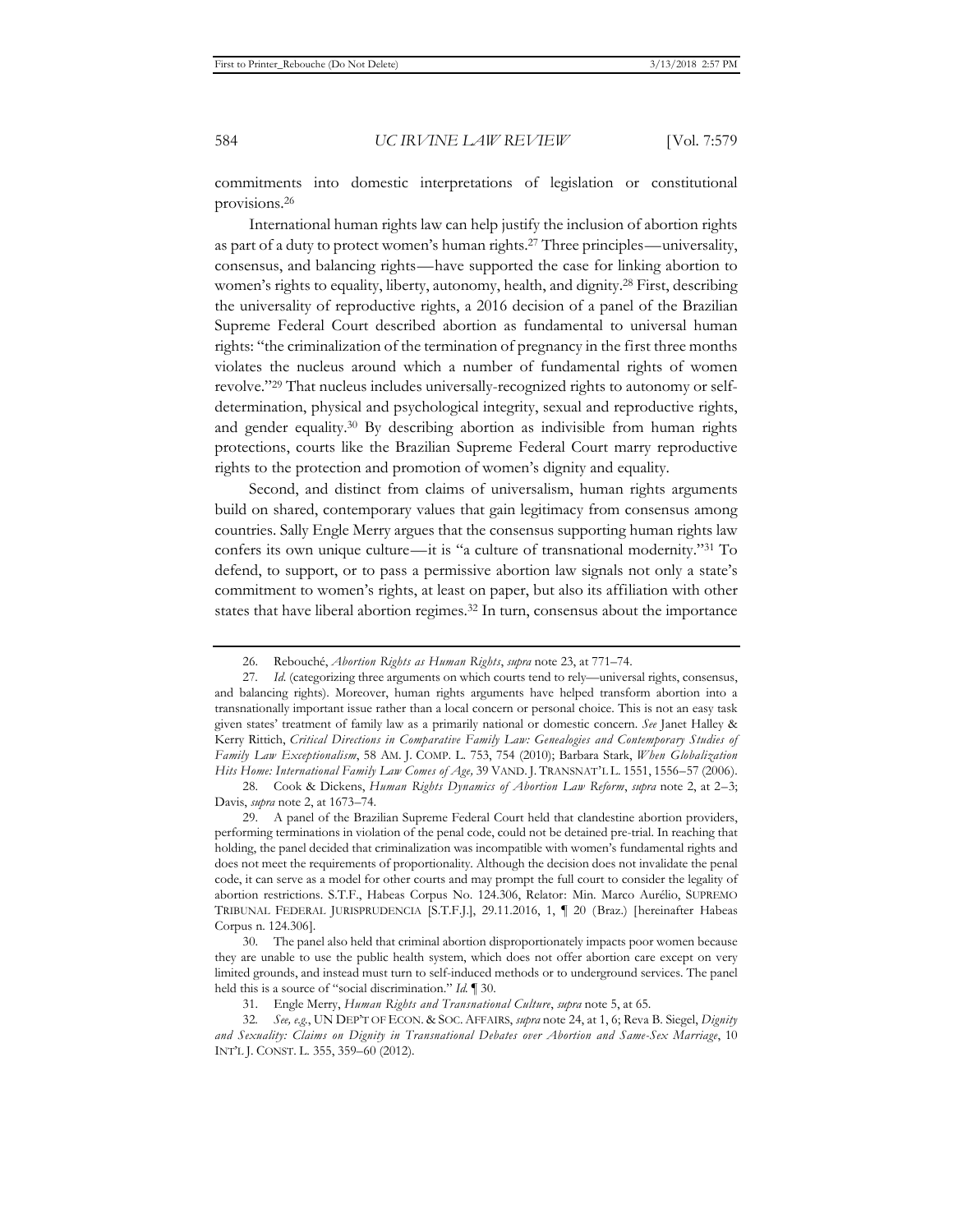commitments into domestic interpretations of legislation or constitutional provisions.26

International human rights law can help justify the inclusion of abortion rights as part of a duty to protect women's human rights.27 Three principles—universality, consensus, and balancing rights*—*have supported the case for linking abortion to women's rights to equality, liberty, autonomy, health, and dignity.28 First, describing the universality of reproductive rights, a 2016 decision of a panel of the Brazilian Supreme Federal Court described abortion as fundamental to universal human rights: "the criminalization of the termination of pregnancy in the first three months violates the nucleus around which a number of fundamental rights of women revolve."29 That nucleus includes universally-recognized rights to autonomy or selfdetermination, physical and psychological integrity, sexual and reproductive rights, and gender equality.30 By describing abortion as indivisible from human rights protections, courts like the Brazilian Supreme Federal Court marry reproductive rights to the protection and promotion of women's dignity and equality.

Second, and distinct from claims of universalism, human rights arguments build on shared, contemporary values that gain legitimacy from consensus among countries. Sally Engle Merry argues that the consensus supporting human rights law confers its own unique culture—it is "a culture of transnational modernity."31 To defend, to support, or to pass a permissive abortion law signals not only a state's commitment to women's rights, at least on paper, but also its affiliation with other states that have liberal abortion regimes.32 In turn, consensus about the importance

29. A panel of the Brazilian Supreme Federal Court held that clandestine abortion providers, performing terminations in violation of the penal code, could not be detained pre-trial. In reaching that holding, the panel decided that criminalization was incompatible with women's fundamental rights and does not meet the requirements of proportionality. Although the decision does not invalidate the penal code, it can serve as a model for other courts and may prompt the full court to consider the legality of abortion restrictions. S.T.F., Habeas Corpus No. 124.306, Relator: Min. Marco Aurélio, SUPREMO TRIBUNAL FEDERAL JURISPRUDENCIA [S.T.F.J.], 29.11.2016, 1, ¶ 20 (Braz.) [hereinafter Habeas Corpus n. 124.306].

30. The panel also held that criminal abortion disproportionately impacts poor women because they are unable to use the public health system, which does not offer abortion care except on very limited grounds, and instead must turn to self-induced methods or to underground services. The panel held this is a source of "social discrimination." *Id.* ¶ 30.

<sup>26.</sup> Rebouché, *Abortion Rights as Human Rights*, *supra* note 23, at 771–74.

<sup>27</sup>*. Id.* (categorizing three arguments on which courts tend to rely—universal rights, consensus, and balancing rights). Moreover, human rights arguments have helped transform abortion into a transnationally important issue rather than a local concern or personal choice. This is not an easy task given states' treatment of family law as a primarily national or domestic concern. *See* Janet Halley & Kerry Rittich, *Critical Directions in Comparative Family Law: Genealogies and Contemporary Studies of Family Law Exceptionalism*, 58 AM. J. COMP. L. 753, 754 (2010); Barbara Stark, *When Globalization Hits Home: International Family Law Comes of Age,* 39 VAND. J. TRANSNAT'L L. 1551, 1556–57 (2006).

<sup>28.</sup> Cook & Dickens, *Human Rights Dynamics of Abortion Law Reform*, *supra* note 2, at 2–3; Davis, *supra* note 2, at 1673–74.

<sup>31.</sup> Engle Merry, *Human Rights and Transnational Culture*, *supra* note 5, at 65.

<sup>32</sup>*. See, e.g.*, UN DEP'T OF ECON. & SOC. AFFAIRS, *supra* note 24, at 1, 6; Reva B. Siegel, *Dignity and Sexuality: Claims on Dignity in Transnational Debates over Abortion and Same-Sex Marriage*, 10 INT'L J. CONST. L. 355, 359–60 (2012).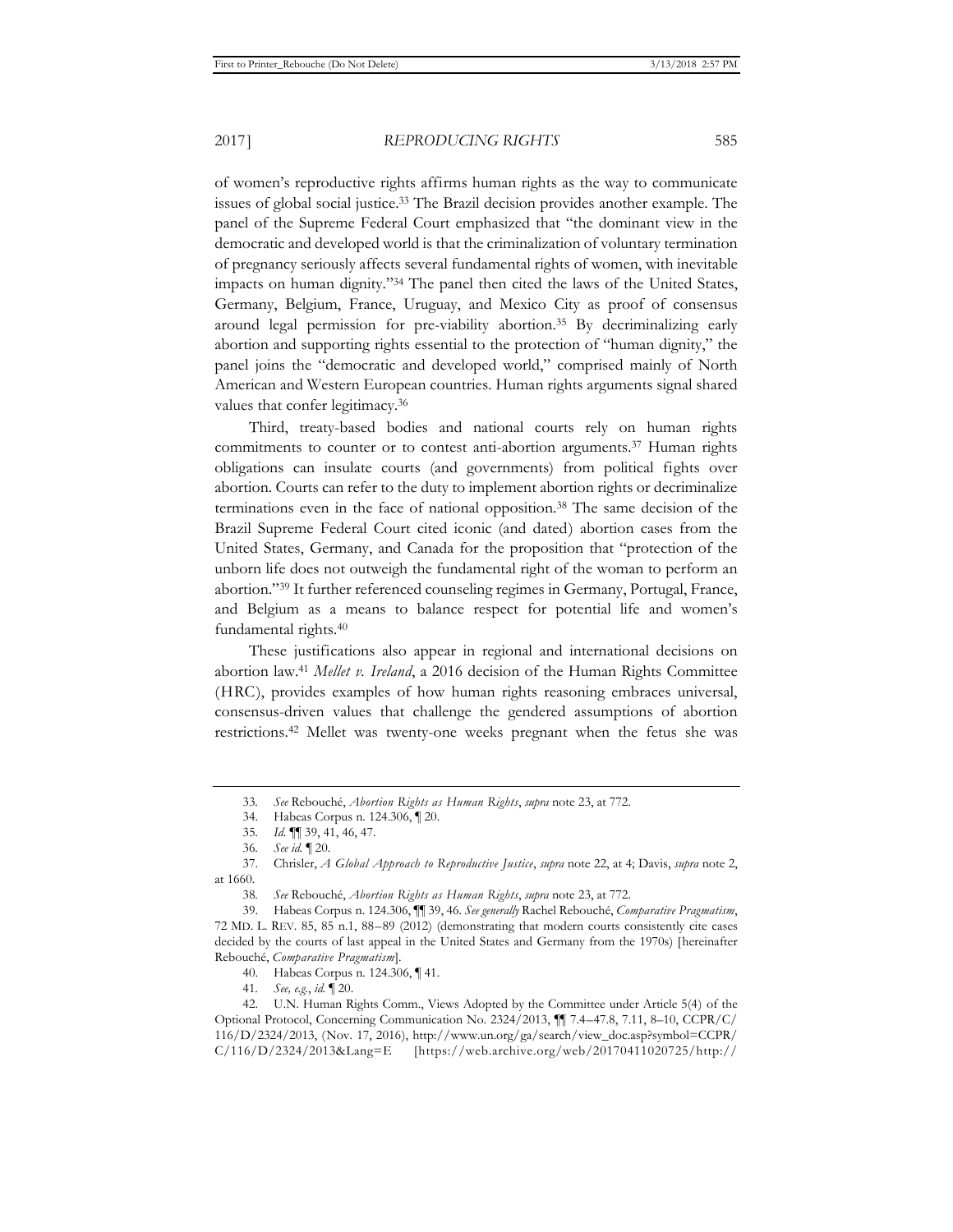of women's reproductive rights affirms human rights as the way to communicate issues of global social justice.33 The Brazil decision provides another example. The panel of the Supreme Federal Court emphasized that "the dominant view in the democratic and developed world is that the criminalization of voluntary termination of pregnancy seriously affects several fundamental rights of women, with inevitable impacts on human dignity."34 The panel then cited the laws of the United States, Germany, Belgium, France, Uruguay, and Mexico City as proof of consensus around legal permission for pre-viability abortion.35 By decriminalizing early abortion and supporting rights essential to the protection of "human dignity," the panel joins the "democratic and developed world," comprised mainly of North American and Western European countries. Human rights arguments signal shared values that confer legitimacy.<sup>36</sup>

Third, treaty-based bodies and national courts rely on human rights commitments to counter or to contest anti-abortion arguments.<sup>37</sup> Human rights obligations can insulate courts (and governments) from political fights over abortion. Courts can refer to the duty to implement abortion rights or decriminalize terminations even in the face of national opposition.38 The same decision of the Brazil Supreme Federal Court cited iconic (and dated) abortion cases from the United States, Germany, and Canada for the proposition that "protection of the unborn life does not outweigh the fundamental right of the woman to perform an abortion."39 It further referenced counseling regimes in Germany, Portugal, France, and Belgium as a means to balance respect for potential life and women's fundamental rights.40

These justifications also appear in regional and international decisions on abortion law.41 *Mellet v. Ireland*, a 2016 decision of the Human Rights Committee (HRC), provides examples of how human rights reasoning embraces universal, consensus-driven values that challenge the gendered assumptions of abortion restrictions.42 Mellet was twenty-one weeks pregnant when the fetus she was

<sup>33</sup>*. See* Rebouché, *Abortion Rights as Human Rights*, *supra* note 23, at 772.

<sup>34.</sup> Habeas Corpus n. 124.306, ¶ 20.

<sup>35</sup>*. Id.* ¶¶ 39, 41, 46, 47.

<sup>36</sup>*. See id.* ¶ 20.

<sup>37.</sup> Chrisler, *A Global Approach to Reproductive Justice*, *supra* note 22, at 4; Davis, *supra* note 2, at 1660.

<sup>38</sup>*. See* Rebouché, *Abortion Rights as Human Rights*, *supra* note 23, at 772.

<sup>39.</sup> Habeas Corpus n. 124.306, ¶¶ 39, 46. *See generally* Rachel Rebouché, *Comparative Pragmatism*, 72 MD. L. REV. 85, 85 n.1, 88–89 (2012) (demonstrating that modern courts consistently cite cases decided by the courts of last appeal in the United States and Germany from the 1970s) [hereinafter Rebouché, *Comparative Pragmatism*].

<sup>40.</sup> Habeas Corpus n. 124.306, ¶ 41.

<sup>41</sup>*. See, e.g.*, *id.* ¶ 20.

<sup>42.</sup> U.N. Human Rights Comm., Views Adopted by the Committee under Article 5(4) of the Optional Protocol, Concerning Communication No. 2324/2013, ¶¶ 7.4–47.8, 7.11, 8–10, CCPR/C/ 116/D/2324/2013, (Nov. 17, 2016), http://www.un.org/ga/search/view\_doc.asp?symbol=CCPR/ C/116/D/2324/2013&Lang=E [https://web.archive.org/web/20170411020725/http://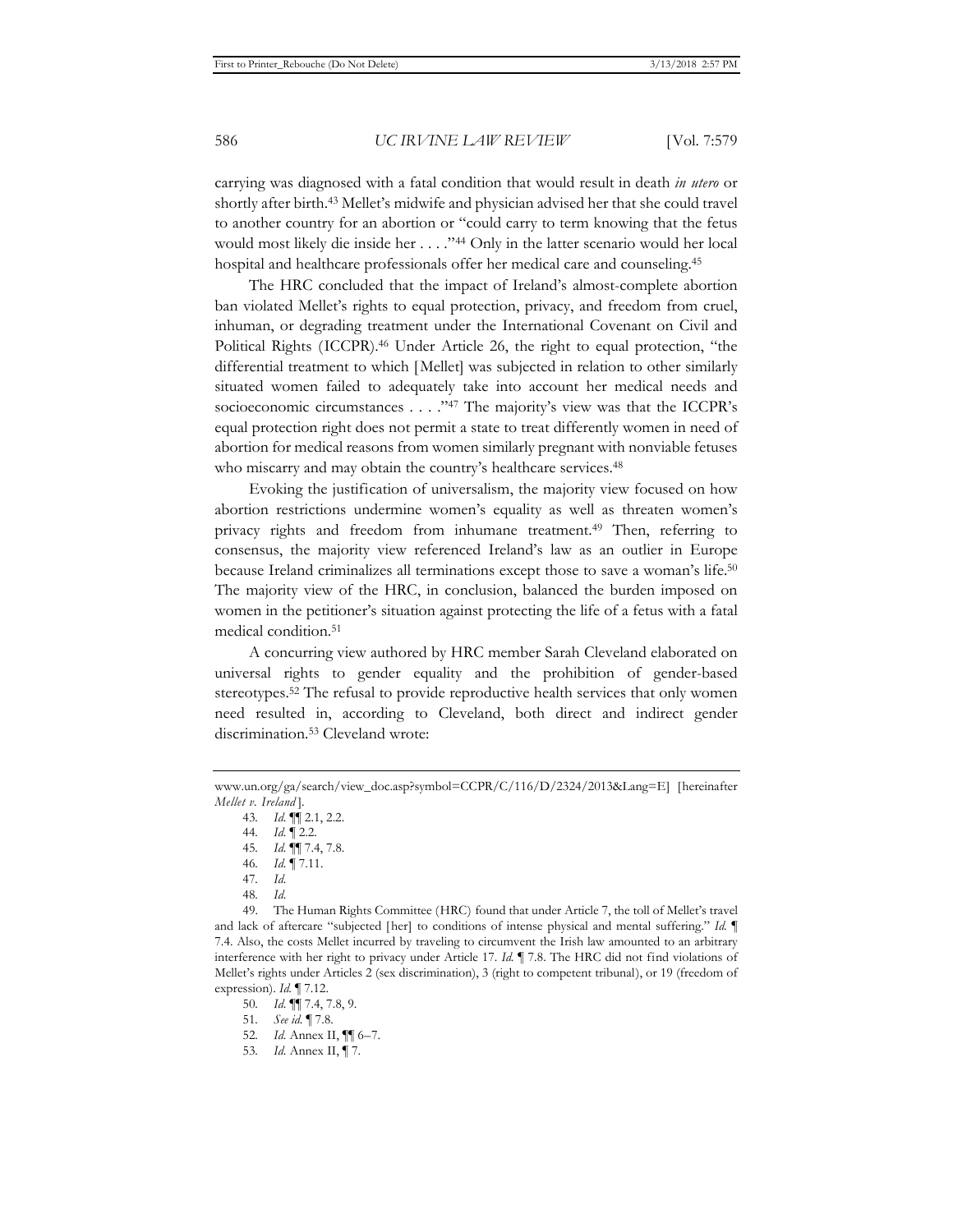carrying was diagnosed with a fatal condition that would result in death *in utero* or shortly after birth.43 Mellet's midwife and physician advised her that she could travel to another country for an abortion or "could carry to term knowing that the fetus would most likely die inside her . . . . "44 Only in the latter scenario would her local hospital and healthcare professionals offer her medical care and counseling.45

The HRC concluded that the impact of Ireland's almost-complete abortion ban violated Mellet's rights to equal protection, privacy, and freedom from cruel, inhuman, or degrading treatment under the International Covenant on Civil and Political Rights (ICCPR).46 Under Article 26, the right to equal protection, "the differential treatment to which [Mellet] was subjected in relation to other similarly situated women failed to adequately take into account her medical needs and socioeconomic circumstances . . . . "47 The majority's view was that the ICCPR's equal protection right does not permit a state to treat differently women in need of abortion for medical reasons from women similarly pregnant with nonviable fetuses who miscarry and may obtain the country's healthcare services.<sup>48</sup>

Evoking the justification of universalism, the majority view focused on how abortion restrictions undermine women's equality as well as threaten women's privacy rights and freedom from inhumane treatment.49 Then, referring to consensus, the majority view referenced Ireland's law as an outlier in Europe because Ireland criminalizes all terminations except those to save a woman's life.50 The majority view of the HRC, in conclusion, balanced the burden imposed on women in the petitioner's situation against protecting the life of a fetus with a fatal medical condition.51

A concurring view authored by HRC member Sarah Cleveland elaborated on universal rights to gender equality and the prohibition of gender-based stereotypes.52 The refusal to provide reproductive health services that only women need resulted in, according to Cleveland, both direct and indirect gender discrimination.53 Cleveland wrote:

48*. Id.*

49. The Human Rights Committee (HRC) found that under Article 7, the toll of Mellet's travel and lack of aftercare "subjected [her] to conditions of intense physical and mental suffering." *Id.* ¶ 7.4. Also, the costs Mellet incurred by traveling to circumvent the Irish law amounted to an arbitrary interference with her right to privacy under Article 17. *Id.* ¶ 7.8. The HRC did not find violations of Mellet's rights under Articles 2 (sex discrimination), 3 (right to competent tribunal), or 19 (freedom of expression). *Id.* ¶ 7.12.

50*. Id.* ¶¶ 7.4, 7.8, 9.

51*. See id.* ¶ 7.8.

www.un.org/ga/search/view\_doc.asp?symbol=CCPR/C/116/D/2324/2013&Lang=E] [hereinafter *Mellet v. Ireland* ].

<sup>43</sup>*. Id.* ¶¶ 2.1, 2.2.

<sup>44</sup>*. Id.* ¶ 2.2.

<sup>45</sup>*. Id.* ¶¶ 7.4, 7.8.

<sup>46</sup>*. Id.* ¶ 7.11.

<sup>47</sup>*. Id.*

<sup>52</sup>*. Id.* Annex II, ¶¶ 6–7.

<sup>53</sup>*. Id.* Annex II, ¶ 7.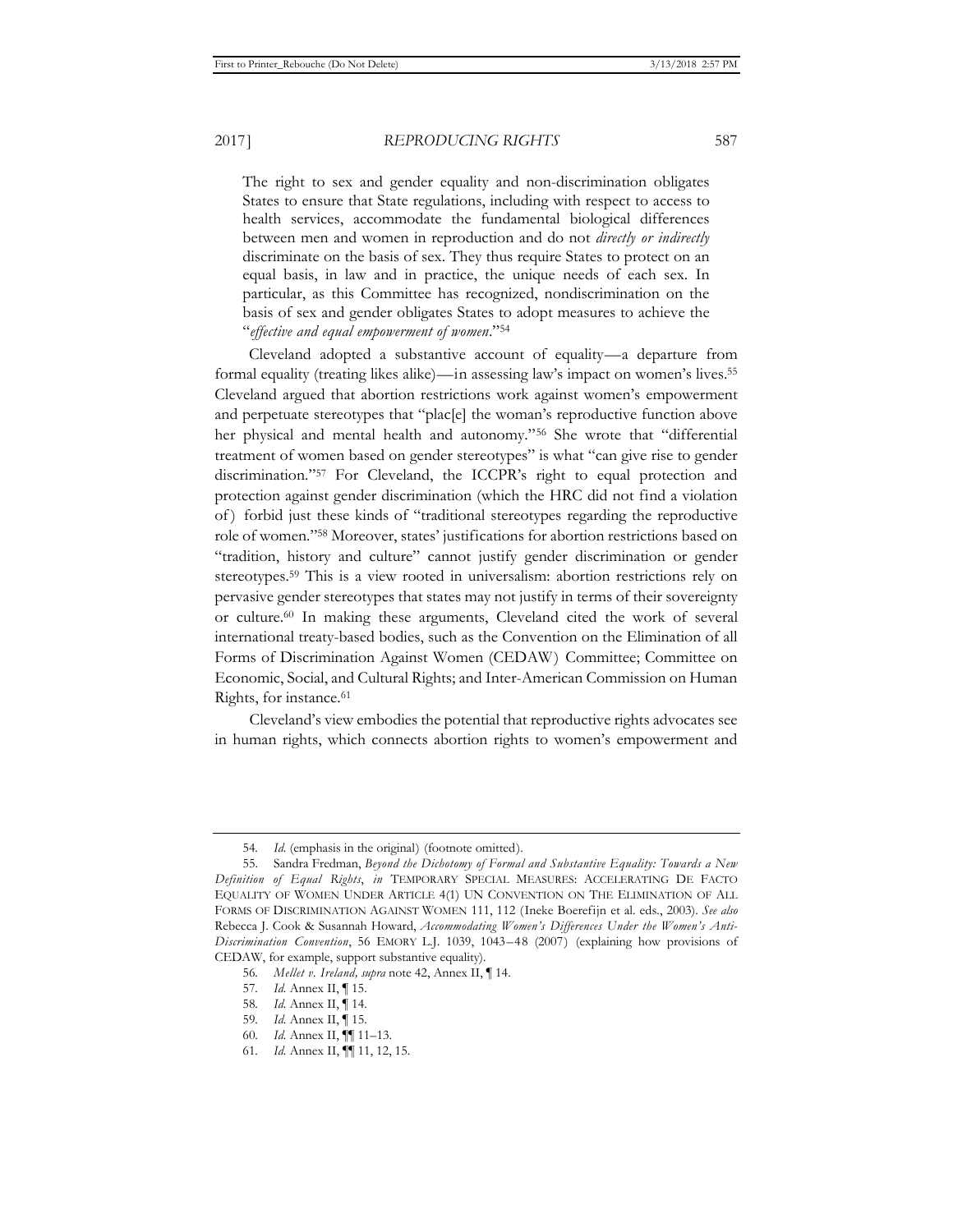The right to sex and gender equality and non-discrimination obligates States to ensure that State regulations, including with respect to access to health services, accommodate the fundamental biological differences between men and women in reproduction and do not *directly or indirectly* discriminate on the basis of sex. They thus require States to protect on an equal basis, in law and in practice, the unique needs of each sex. In particular, as this Committee has recognized, nondiscrimination on the basis of sex and gender obligates States to adopt measures to achieve the "*effective and equal empowerment of women*."54

Cleveland adopted a substantive account of equality—a departure from formal equality (treating likes alike)—in assessing law's impact on women's lives.55 Cleveland argued that abortion restrictions work against women's empowerment and perpetuate stereotypes that "plac[e] the woman's reproductive function above her physical and mental health and autonomy."56 She wrote that "differential treatment of women based on gender stereotypes" is what "can give rise to gender discrimination."57 For Cleveland, the ICCPR's right to equal protection and protection against gender discrimination (which the HRC did not find a violation of ) forbid just these kinds of "traditional stereotypes regarding the reproductive role of women."58 Moreover, states' justifications for abortion restrictions based on "tradition, history and culture" cannot justify gender discrimination or gender stereotypes.59 This is a view rooted in universalism: abortion restrictions rely on pervasive gender stereotypes that states may not justify in terms of their sovereignty or culture.60 In making these arguments, Cleveland cited the work of several international treaty-based bodies, such as the Convention on the Elimination of all Forms of Discrimination Against Women (CEDAW) Committee; Committee on Economic, Social, and Cultural Rights; and Inter-American Commission on Human Rights, for instance.<sup>61</sup>

Cleveland's view embodies the potential that reproductive rights advocates see in human rights, which connects abortion rights to women's empowerment and

<sup>54</sup>*. Id.* (emphasis in the original) (footnote omitted).

<sup>55.</sup> Sandra Fredman, *Beyond the Dichotomy of Formal and Substantive Equality: Towards a New Definition of Equal Rights*, *in* TEMPORARY SPECIAL MEASURES: ACCELERATING DE FACTO EQUALITY OF WOMEN UNDER ARTICLE 4(1) UN CONVENTION ON THE ELIMINATION OF ALL FORMS OF DISCRIMINATION AGAINST WOMEN 111, 112 (Ineke Boerefijn et al. eds., 2003). *See also* Rebecca J. Cook & Susannah Howard, *Accommodating Women's Differences Under the Women's Anti-Discrimination Convention*, 56 EMORY L.J. 1039, 1043–48 (2007) (explaining how provisions of CEDAW, for example, support substantive equality).

<sup>56</sup>*. Mellet v. Ireland, supra* note 42, Annex II, ¶ 14.

<sup>57</sup>*. Id.* Annex II, ¶ 15.

<sup>58</sup>*. Id.* Annex II, ¶ 14.

<sup>59</sup>*. Id.* Annex II, ¶ 15.

<sup>60</sup>*. Id.* Annex II, ¶¶ 11–13.

<sup>61</sup>*. Id.* Annex II, ¶¶ 11, 12, 15.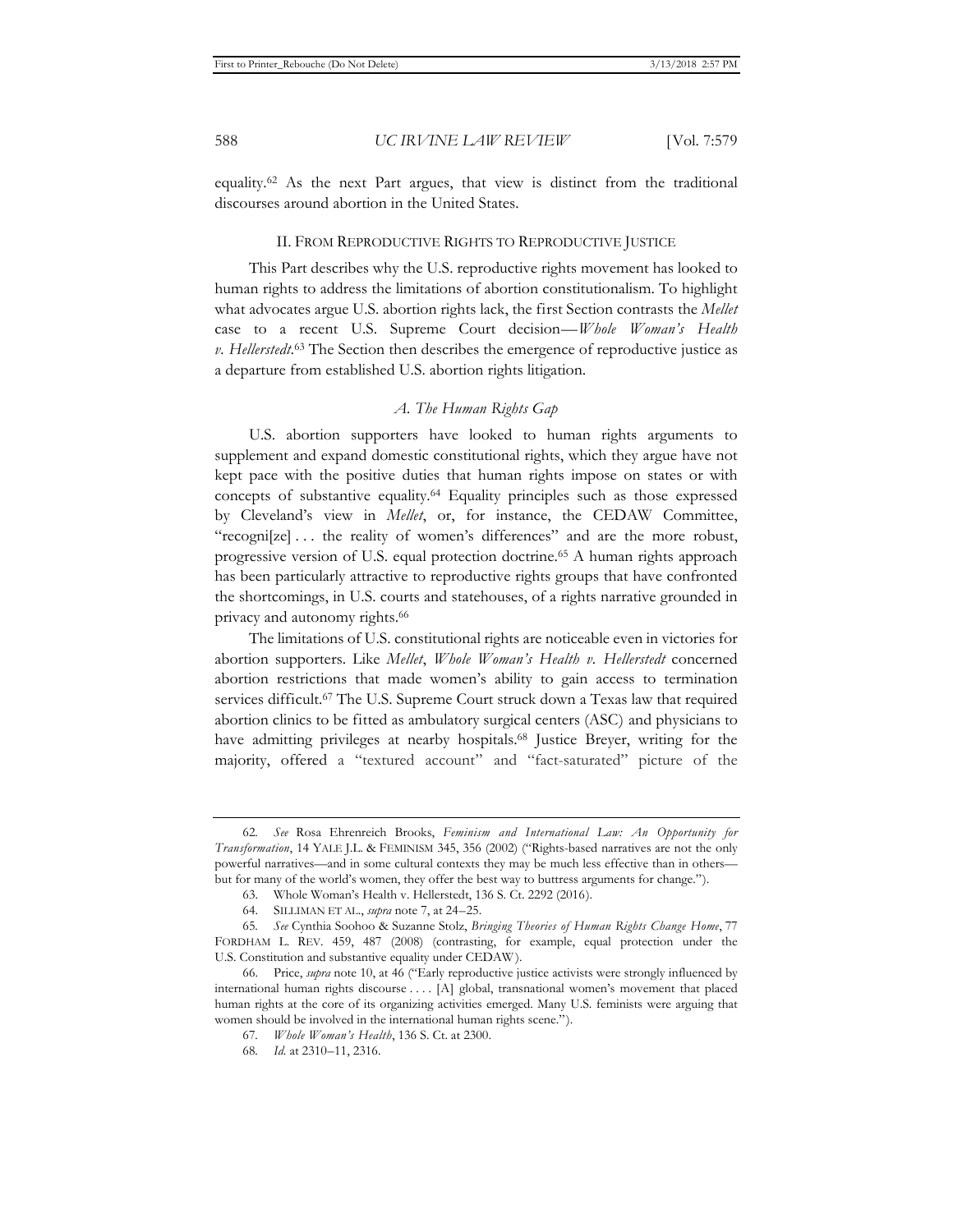equality.62 As the next Part argues, that view is distinct from the traditional discourses around abortion in the United States.

#### II. FROM REPRODUCTIVE RIGHTS TO REPRODUCTIVE JUSTICE

This Part describes why the U.S. reproductive rights movement has looked to human rights to address the limitations of abortion constitutionalism. To highlight what advocates argue U.S. abortion rights lack, the first Section contrasts the *Mellet*  case to a recent U.S. Supreme Court decision—*Whole Woman's Health v. Hellerstedt.*63 The Section then describes the emergence of reproductive justice as a departure from established U.S. abortion rights litigation.

# *A. The Human Rights Gap*

U.S. abortion supporters have looked to human rights arguments to supplement and expand domestic constitutional rights, which they argue have not kept pace with the positive duties that human rights impose on states or with concepts of substantive equality.64 Equality principles such as those expressed by Cleveland's view in *Mellet*, or, for instance, the CEDAW Committee, "recogni[ze] ... the reality of women's differences" and are the more robust, progressive version of U.S. equal protection doctrine.65 A human rights approach has been particularly attractive to reproductive rights groups that have confronted the shortcomings, in U.S. courts and statehouses, of a rights narrative grounded in privacy and autonomy rights.<sup>66</sup>

The limitations of U.S. constitutional rights are noticeable even in victories for abortion supporters. Like *Mellet*, *Whole Woman's Health v. Hellerstedt* concerned abortion restrictions that made women's ability to gain access to termination services difficult.67 The U.S. Supreme Court struck down a Texas law that required abortion clinics to be fitted as ambulatory surgical centers (ASC) and physicians to have admitting privileges at nearby hospitals.<sup>68</sup> Justice Breyer, writing for the majority, offered a "textured account" and "fact-saturated" picture of the

<sup>62</sup>*. See* Rosa Ehrenreich Brooks, *Feminism and International Law: An Opportunity for Transformation*, 14 YALE J.L. & FEMINISM 345, 356 (2002) ("Rights-based narratives are not the only powerful narratives—and in some cultural contexts they may be much less effective than in others but for many of the world's women, they offer the best way to buttress arguments for change.").

<sup>63.</sup> Whole Woman's Health v. Hellerstedt, 136 S. Ct. 2292 (2016).

<sup>64.</sup> SILLIMAN ET AL., *supra* note 7, at 24–25.

<sup>65</sup>*. See* Cynthia Soohoo & Suzanne Stolz, *Bringing Theories of Human Rights Change Home*, 77 FORDHAM L. REV. 459, 487 (2008) (contrasting, for example, equal protection under the U.S. Constitution and substantive equality under CEDAW ).

<sup>66.</sup> Price, *supra* note 10, at 46 ("Early reproductive justice activists were strongly influenced by international human rights discourse . . . . [A] global, transnational women's movement that placed human rights at the core of its organizing activities emerged. Many U.S. feminists were arguing that women should be involved in the international human rights scene.").

<sup>67</sup>*. Whole Woman's Health*, 136 S. Ct. at 2300.

<sup>68</sup>*. Id.* at 2310–11, 2316.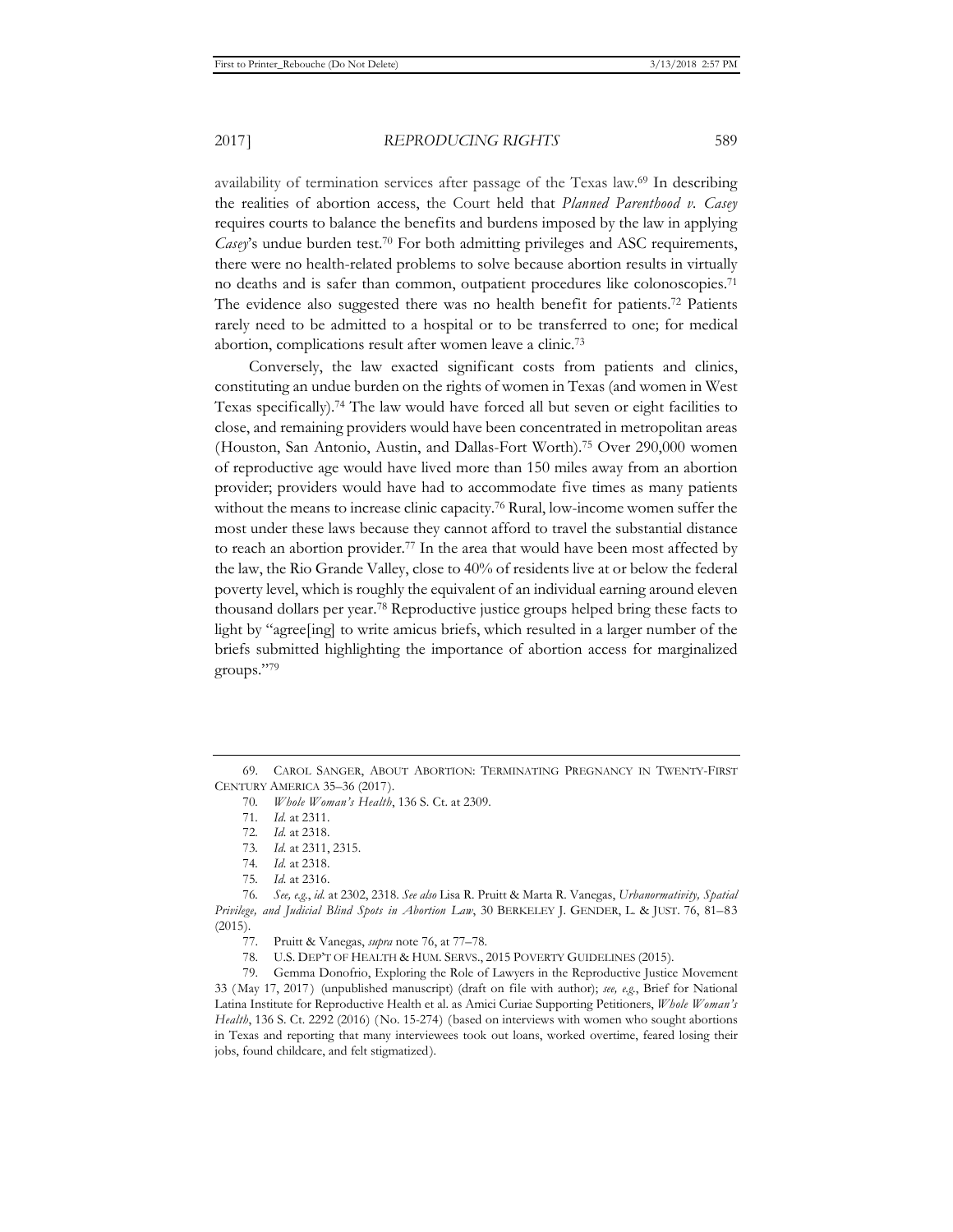availability of termination services after passage of the Texas law.69 In describing the realities of abortion access, the Court held that *Planned Parenthood v. Casey* requires courts to balance the benefits and burdens imposed by the law in applying *Casey*'s undue burden test.<sup>70</sup> For both admitting privileges and ASC requirements, there were no health-related problems to solve because abortion results in virtually no deaths and is safer than common, outpatient procedures like colonoscopies.71 The evidence also suggested there was no health benefit for patients.<sup>72</sup> Patients rarely need to be admitted to a hospital or to be transferred to one; for medical abortion, complications result after women leave a clinic.73

Conversely, the law exacted significant costs from patients and clinics, constituting an undue burden on the rights of women in Texas (and women in West Texas specifically).74 The law would have forced all but seven or eight facilities to close, and remaining providers would have been concentrated in metropolitan areas (Houston, San Antonio, Austin, and Dallas-Fort Worth).75 Over 290,000 women of reproductive age would have lived more than 150 miles away from an abortion provider; providers would have had to accommodate five times as many patients without the means to increase clinic capacity.76 Rural, low-income women suffer the most under these laws because they cannot afford to travel the substantial distance to reach an abortion provider.<sup>77</sup> In the area that would have been most affected by the law, the Rio Grande Valley, close to 40% of residents live at or below the federal poverty level, which is roughly the equivalent of an individual earning around eleven thousand dollars per year.78 Reproductive justice groups helped bring these facts to light by "agree[ing] to write amicus briefs, which resulted in a larger number of the briefs submitted highlighting the importance of abortion access for marginalized groups."79

<sup>69.</sup> CAROL SANGER, ABOUT ABORTION: TERMINATING PREGNANCY IN TWENTY-FIRST CENTURY AMERICA 35–36 (2017).

<sup>70</sup>*. Whole Woman's Health*, 136 S. Ct. at 2309.

<sup>71</sup>*. Id.* at 2311.

<sup>72</sup>*. Id.* at 2318.

<sup>73</sup>*. Id.* at 2311, 2315.

<sup>74</sup>*. Id.* at 2318.

<sup>75</sup>*. Id.* at 2316.

<sup>76</sup>*. See, e.g.*, *id.* at 2302, 2318. *See also* Lisa R. Pruitt & Marta R. Vanegas, *Urbanormativity, Spatial Privilege, and Judicial Blind Spots in Abortion Law*, 30 BERKELEY J. GENDER, L. & JUST. 76, 81–83  $(2015).$ 

<sup>77.</sup> Pruitt & Vanegas, *supra* note 76, at 77–78.

<sup>78.</sup> U.S. DEP'T OF HEALTH & HUM. SERVS., 2015 POVERTY GUIDELINES (2015).

<sup>79.</sup> Gemma Donofrio, Exploring the Role of Lawyers in the Reproductive Justice Movement 33 ( May 17, 2017 ) (unpublished manuscript) (draft on file with author); *see, e.g.*, Brief for National Latina Institute for Reproductive Health et al. as Amici Curiae Supporting Petitioners, *Whole Woman's Health*, 136 S. Ct. 2292 (2016) ( No. 15-274) (based on interviews with women who sought abortions in Texas and reporting that many interviewees took out loans, worked overtime, feared losing their jobs, found childcare, and felt stigmatized).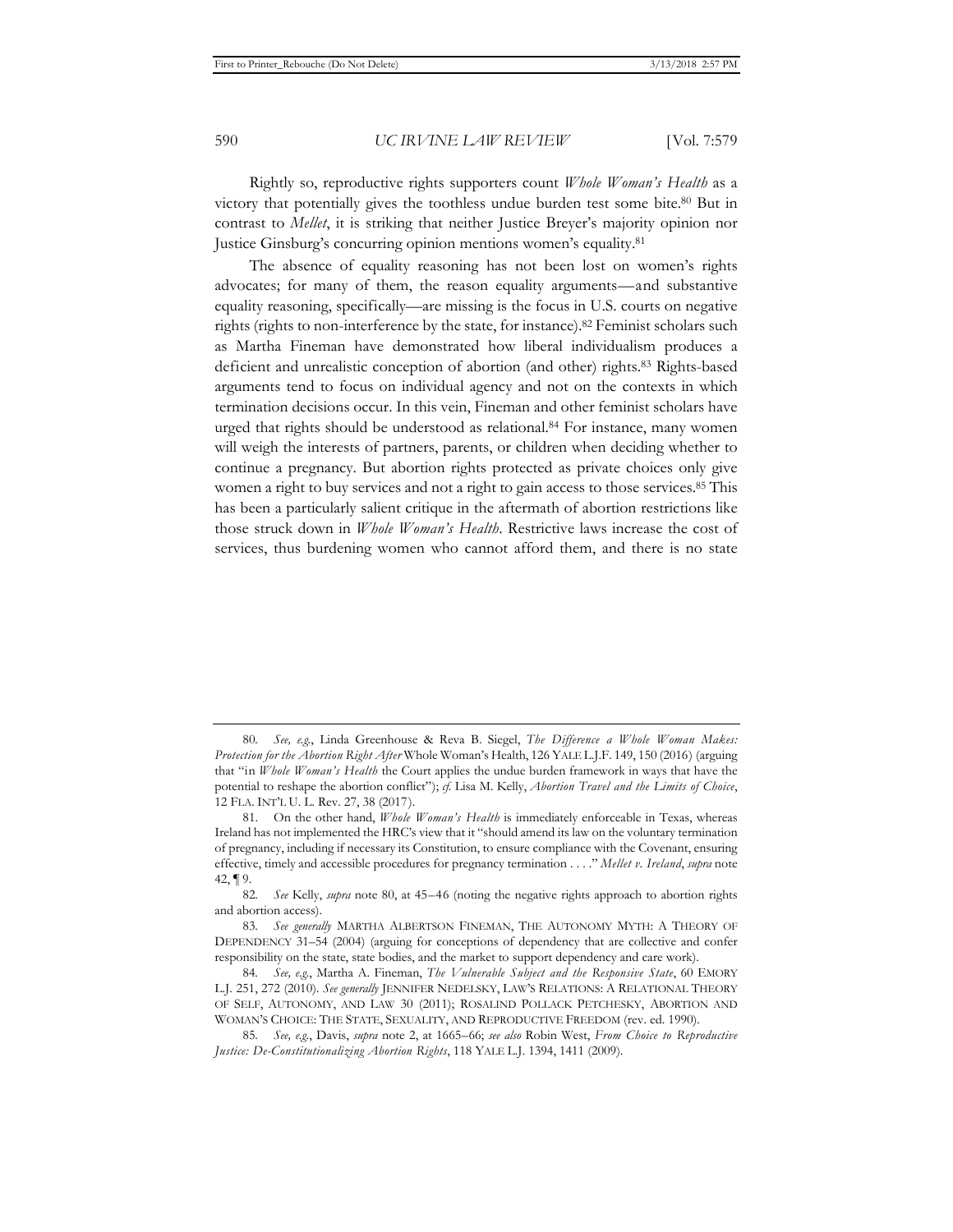Rightly so, reproductive rights supporters count *Whole Woman's Health* as a victory that potentially gives the toothless undue burden test some bite.80 But in contrast to *Mellet*, it is striking that neither Justice Breyer's majority opinion nor Justice Ginsburg's concurring opinion mentions women's equality.81

The absence of equality reasoning has not been lost on women's rights advocates; for many of them, the reason equality arguments—and substantive equality reasoning, specifically—are missing is the focus in U.S. courts on negative rights (rights to non-interference by the state, for instance).82 Feminist scholars such as Martha Fineman have demonstrated how liberal individualism produces a deficient and unrealistic conception of abortion (and other) rights.83 Rights-based arguments tend to focus on individual agency and not on the contexts in which termination decisions occur. In this vein, Fineman and other feminist scholars have urged that rights should be understood as relational.<sup>84</sup> For instance, many women will weigh the interests of partners, parents, or children when deciding whether to continue a pregnancy. But abortion rights protected as private choices only give women a right to buy services and not a right to gain access to those services.<sup>85</sup> This has been a particularly salient critique in the aftermath of abortion restrictions like those struck down in *Whole Woman's Health*. Restrictive laws increase the cost of services, thus burdening women who cannot afford them, and there is no state

<sup>80</sup>*. See, e.g.*, Linda Greenhouse & Reva B. Siegel, *The Difference a Whole Woman Makes: Protection for the Abortion Right After* Whole Woman's Health, 126 YALE L.J.F. 149, 150 (2016) (arguing that "in *Whole Woman's Health* the Court applies the undue burden framework in ways that have the potential to reshape the abortion conflict"); *cf.* Lisa M. Kelly, *Abortion Travel and the Limits of Choice*, 12 FLA. INT'L U. L. Rev. 27, 38 (2017).

<sup>81.</sup> On the other hand, *Whole Woman's Health* is immediately enforceable in Texas, whereas Ireland has not implemented the HRC's view that it "should amend its law on the voluntary termination of pregnancy, including if necessary its Constitution, to ensure compliance with the Covenant, ensuring effective, timely and accessible procedures for pregnancy termination . . . ." *Mellet v. Ireland*, *supra* note 42, ¶ 9.

<sup>82</sup>*. See* Kelly, *supra* note 80, at 45–46 (noting the negative rights approach to abortion rights and abortion access).

<sup>83</sup>*. See generally* MARTHA ALBERTSON FINEMAN, THE AUTONOMY MYTH: A THEORY OF DEPENDENCY 31–54 (2004) (arguing for conceptions of dependency that are collective and confer responsibility on the state, state bodies, and the market to support dependency and care work).

<sup>84</sup>*. See, e.g.*, Martha A. Fineman, *The Vulnerable Subject and the Responsive State*, 60 EMORY L.J. 251, 272 (2010). *See generally* JENNIFER NEDELSKY, LAW'S RELATIONS: A RELATIONAL THEORY OF SELF, AUTONOMY, AND LAW 30 (2011); ROSALIND POLLACK PETCHESKY, ABORTION AND WOMAN'S CHOICE: THE STATE, SEXUALITY, AND REPRODUCTIVE FREEDOM (rev. ed. 1990).

<sup>85</sup>*. See, e.g.*, Davis, *supra* note 2, at 1665–66; *see also* Robin West, *From Choice to Reproductive Justice: De-Constitutionalizing Abortion Rights*, 118 YALE L.J. 1394, 1411 (2009).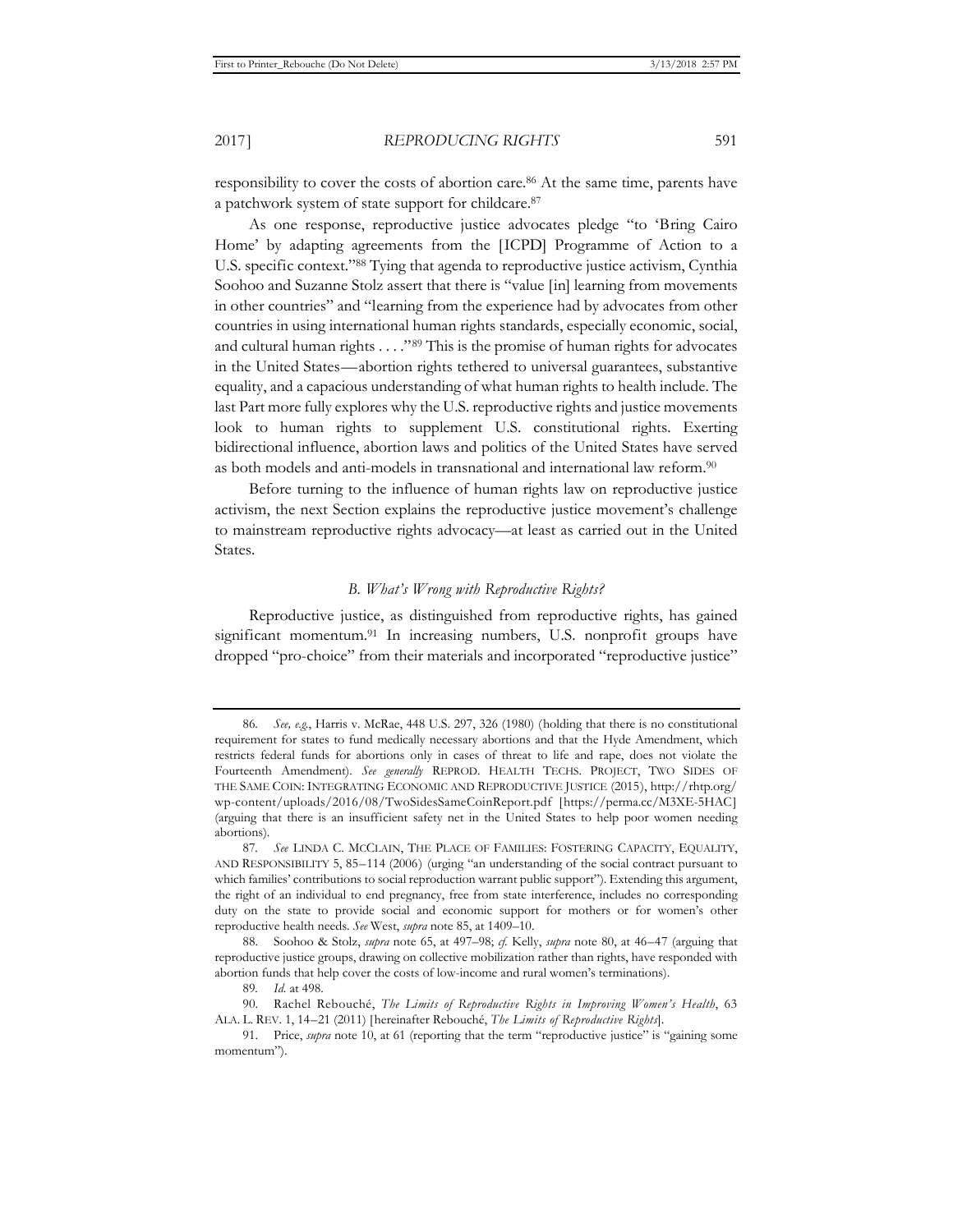responsibility to cover the costs of abortion care.86 At the same time, parents have a patchwork system of state support for childcare.87

As one response, reproductive justice advocates pledge "to 'Bring Cairo Home' by adapting agreements from the [ICPD] Programme of Action to a U.S. specific context."88 Tying that agenda to reproductive justice activism, Cynthia Soohoo and Suzanne Stolz assert that there is "value [in] learning from movements in other countries" and "learning from the experience had by advocates from other countries in using international human rights standards, especially economic, social, and cultural human rights . . . ."89 This is the promise of human rights for advocates in the United States—abortion rights tethered to universal guarantees, substantive equality, and a capacious understanding of what human rights to health include. The last Part more fully explores why the U.S. reproductive rights and justice movements look to human rights to supplement U.S. constitutional rights. Exerting bidirectional influence, abortion laws and politics of the United States have served as both models and anti-models in transnational and international law reform.90

Before turning to the influence of human rights law on reproductive justice activism, the next Section explains the reproductive justice movement's challenge to mainstream reproductive rights advocacy—at least as carried out in the United States.

# *B. What's Wrong with Reproductive Rights?*

Reproductive justice, as distinguished from reproductive rights, has gained significant momentum.<sup>91</sup> In increasing numbers, U.S. nonprofit groups have dropped "pro-choice" from their materials and incorporated "reproductive justice"

<sup>86</sup>*. See, e.g.*, Harris v. McRae, 448 U.S. 297, 326 (1980) (holding that there is no constitutional requirement for states to fund medically necessary abortions and that the Hyde Amendment, which restricts federal funds for abortions only in cases of threat to life and rape, does not violate the Fourteenth Amendment). *See generally* REPROD. HEALTH TECHS. PROJECT, TWO SIDES OF THE SAME COIN: INTEGRATING ECONOMIC AND REPRODUCTIVE JUSTICE (2015), http://rhtp.org/ wp-content/uploads/2016/08/TwoSidesSameCoinReport.pdf [https://perma.cc/M3XE-5HAC] (arguing that there is an insufficient safety net in the United States to help poor women needing abortions).

<sup>87</sup>*. See* LINDA C. MCCLAIN, THE PLACE OF FAMILIES: FOSTERING CAPACITY, EQUALITY, AND RESPONSIBILITY 5, 85–114 (2006) (urging "an understanding of the social contract pursuant to which families' contributions to social reproduction warrant public support"). Extending this argument, the right of an individual to end pregnancy, free from state interference, includes no corresponding duty on the state to provide social and economic support for mothers or for women's other reproductive health needs. *See* West, *supra* note 85, at 1409–10.

<sup>88.</sup> Soohoo & Stolz, *supra* note 65, at 497–98; *cf.* Kelly, *supra* note 80, at 46–47 (arguing that reproductive justice groups, drawing on collective mobilization rather than rights, have responded with abortion funds that help cover the costs of low-income and rural women's terminations).

<sup>89</sup>*. Id.* at 498.

<sup>90.</sup> Rachel Rebouché, *The Limits of Reproductive Rights in Improving Women's Health*, 63 ALA. L. REV. 1, 14–21 (2011) [hereinafter Rebouché, *The Limits of Reproductive Rights*].

<sup>91.</sup> Price, *supra* note 10, at 61 (reporting that the term "reproductive justice" is "gaining some momentum").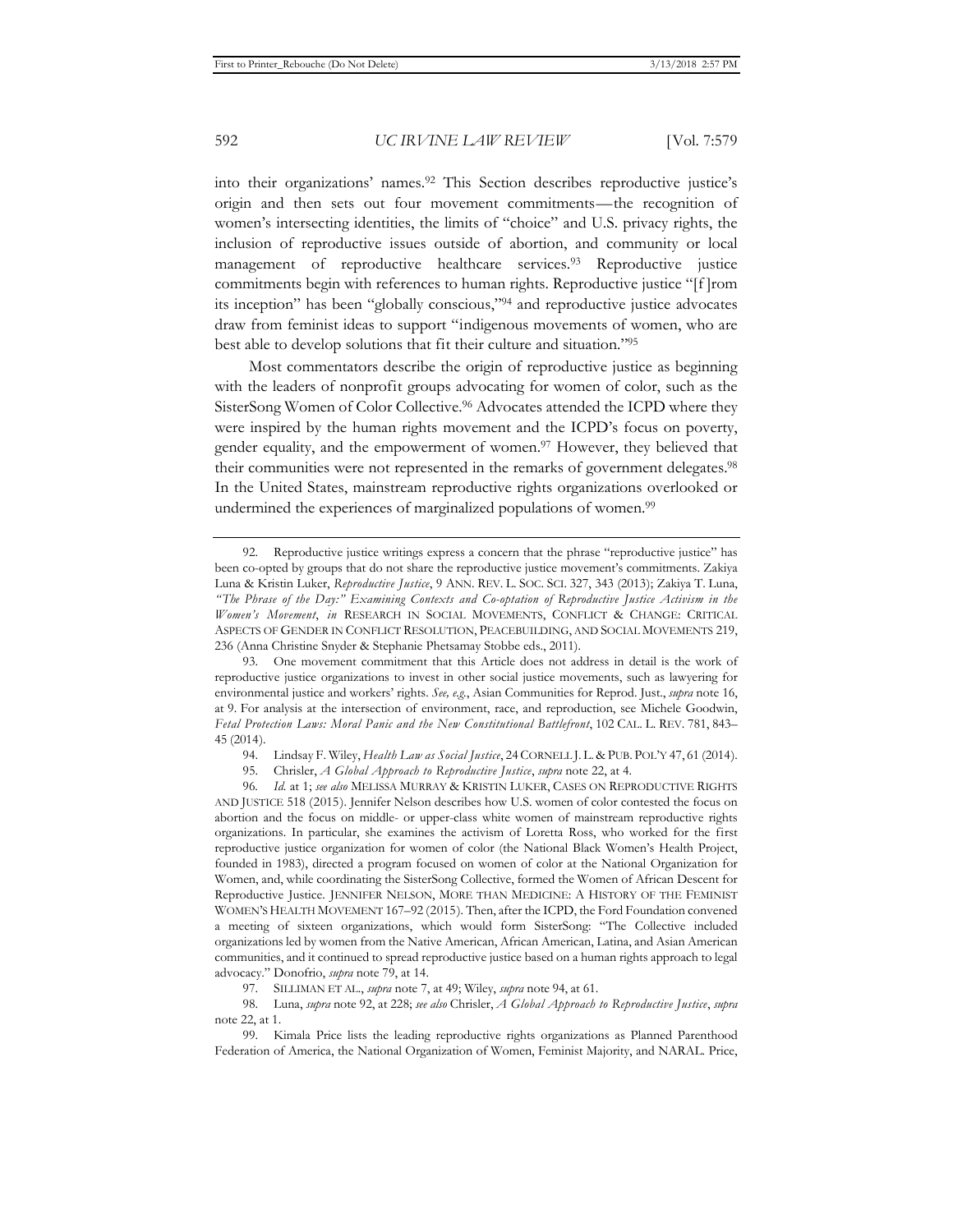into their organizations' names.92 This Section describes reproductive justice's origin and then sets out four movement commitments—the recognition of women's intersecting identities, the limits of "choice" and U.S. privacy rights, the inclusion of reproductive issues outside of abortion, and community or local management of reproductive healthcare services.93 Reproductive justice commitments begin with references to human rights. Reproductive justice "[f ]rom its inception" has been "globally conscious,"94 and reproductive justice advocates draw from feminist ideas to support "indigenous movements of women, who are best able to develop solutions that fit their culture and situation."95

Most commentators describe the origin of reproductive justice as beginning with the leaders of nonprofit groups advocating for women of color, such as the SisterSong Women of Color Collective.96 Advocates attended the ICPD where they were inspired by the human rights movement and the ICPD's focus on poverty, gender equality, and the empowerment of women.97 However, they believed that their communities were not represented in the remarks of government delegates.98 In the United States, mainstream reproductive rights organizations overlooked or undermined the experiences of marginalized populations of women.<sup>99</sup>

97. SILLIMAN ET AL., *supra* note 7, at 49; Wiley, *supra* note 94, at 61.

<sup>92.</sup> Reproductive justice writings express a concern that the phrase "reproductive justice" has been co-opted by groups that do not share the reproductive justice movement's commitments. Zakiya Luna & Kristin Luker, *Reproductive Justice*, 9 ANN. REV. L. SOC. SCI. 327, 343 (2013); Zakiya T. Luna, *" The Phrase of the Day:" Examining Contexts and Co-optation of Reproductive Justice Activism in the Women's Movement*, *in* RESEARCH IN SOCIAL MOVEMENTS, CONFLICT & CHANGE: CRITICAL ASPECTS OF GENDER IN CONFLICT RESOLUTION, PEACEBUILDING, AND SOCIAL MOVEMENTS 219, 236 (Anna Christine Snyder & Stephanie Phetsamay Stobbe eds., 2011).

<sup>93.</sup> One movement commitment that this Article does not address in detail is the work of reproductive justice organizations to invest in other social justice movements, such as lawyering for environmental justice and workers' rights. *See, e.g.*, Asian Communities for Reprod. Just., *supra* note 16, at 9. For analysis at the intersection of environment, race, and reproduction, see Michele Goodwin, *Fetal Protection Laws: Moral Panic and the New Constitutional Battlefront*, 102 CAL. L. REV. 781, 843*–* 45 (2014).

<sup>94.</sup> Lindsay F. Wiley, *Health Law as Social Justice*, 24CORNELL J. L. & PUB. POL'Y 47, 61 (2014).

<sup>95.</sup> Chrisler, *A Global Approach to Reproductive Justice*, *supra* note 22, at 4.

<sup>96</sup>*. Id.* at 1; *see also* MELISSA MURRAY & KRISTIN LUKER, CASES ON REPRODUCTIVE RIGHTS AND JUSTICE 518 (2015). Jennifer Nelson describes how U.S. women of color contested the focus on abortion and the focus on middle- or upper-class white women of mainstream reproductive rights organizations. In particular, she examines the activism of Loretta Ross, who worked for the first reproductive justice organization for women of color (the National Black Women's Health Project, founded in 1983), directed a program focused on women of color at the National Organization for Women, and, while coordinating the SisterSong Collective, formed the Women of African Descent for Reproductive Justice. JENNIFER NELSON, MORE THAN MEDICINE: A HISTORY OF THE FEMINIST WOMEN'S HEALTH MOVEMENT 167–92 (2015). Then, after the ICPD, the Ford Foundation convened a meeting of sixteen organizations, which would form SisterSong: "The Collective included organizations led by women from the Native American, African American, Latina, and Asian American communities, and it continued to spread reproductive justice based on a human rights approach to legal advocacy." Donofrio, *supra* note 79, at 14.

<sup>98.</sup> Luna, *supra* note 92, at 228; *see also* Chrisler, *A Global Approach to Reproductive Justice*, *supra* note 22, at 1.

<sup>99.</sup> Kimala Price lists the leading reproductive rights organizations as Planned Parenthood Federation of America, the National Organization of Women, Feminist Majority, and NARAL. Price,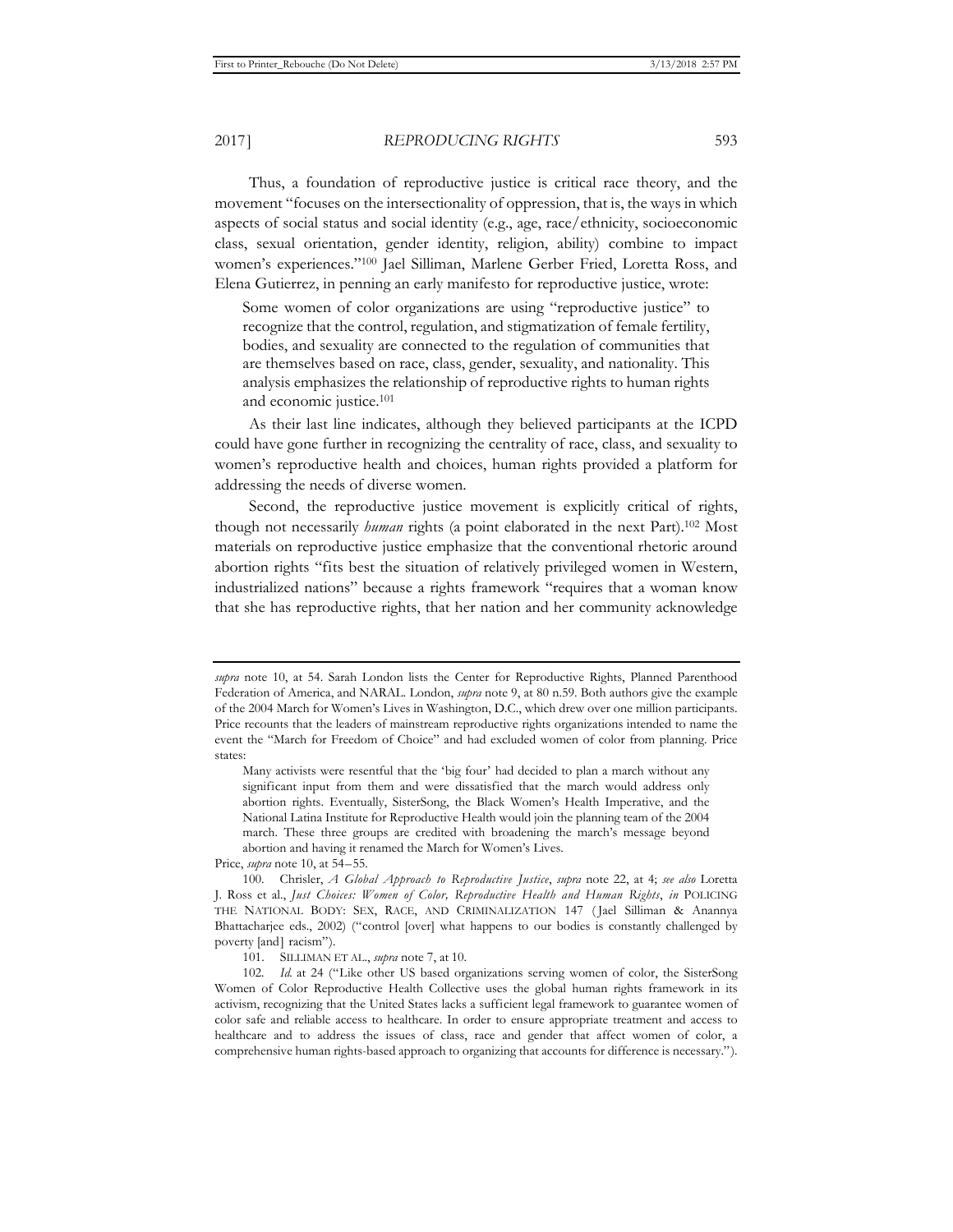2017] *REPRODUCING RIGHTS* 593

Thus, a foundation of reproductive justice is critical race theory, and the movement "focuses on the intersectionality of oppression, that is, the ways in which aspects of social status and social identity (e.g., age, race/ethnicity, socioeconomic class, sexual orientation, gender identity, religion, ability) combine to impact women's experiences."100 Jael Silliman, Marlene Gerber Fried, Loretta Ross, and Elena Gutierrez, in penning an early manifesto for reproductive justice, wrote:

Some women of color organizations are using "reproductive justice" to recognize that the control, regulation, and stigmatization of female fertility, bodies, and sexuality are connected to the regulation of communities that are themselves based on race, class, gender, sexuality, and nationality. This analysis emphasizes the relationship of reproductive rights to human rights and economic justice.101

As their last line indicates, although they believed participants at the ICPD could have gone further in recognizing the centrality of race, class, and sexuality to women's reproductive health and choices, human rights provided a platform for addressing the needs of diverse women.

Second, the reproductive justice movement is explicitly critical of rights, though not necessarily *human* rights (a point elaborated in the next Part).102 Most materials on reproductive justice emphasize that the conventional rhetoric around abortion rights "fits best the situation of relatively privileged women in Western, industrialized nations" because a rights framework "requires that a woman know that she has reproductive rights, that her nation and her community acknowledge

Price, *supra* note 10, at 54–55.

100. Chrisler, *A Global Approach to Reproductive Justice*, *supra* note 22, at 4; *see also* Loretta J. Ross et al., *Just Choices: Women of Color, Reproductive Health and Human Rights*, *in* POLICING THE NATIONAL BODY: SEX, RACE, AND CRIMINALIZATION 147 ( Jael Silliman & Anannya Bhattacharjee eds., 2002) ("control [over] what happens to our bodies is constantly challenged by poverty [and] racism").

101. SILLIMAN ET AL., *supra* note 7, at 10.

102*. Id.* at 24 ("Like other US based organizations serving women of color, the SisterSong Women of Color Reproductive Health Collective uses the global human rights framework in its activism, recognizing that the United States lacks a sufficient legal framework to guarantee women of color safe and reliable access to healthcare. In order to ensure appropriate treatment and access to healthcare and to address the issues of class, race and gender that affect women of color, a comprehensive human rights-based approach to organizing that accounts for difference is necessary.").

*supra* note 10, at 54. Sarah London lists the Center for Reproductive Rights, Planned Parenthood Federation of America, and NARAL. London, *supra* note 9, at 80 n.59. Both authors give the example of the 2004 March for Women's Lives in Washington, D.C., which drew over one million participants. Price recounts that the leaders of mainstream reproductive rights organizations intended to name the event the "March for Freedom of Choice" and had excluded women of color from planning. Price states:

Many activists were resentful that the 'big four' had decided to plan a march without any significant input from them and were dissatisfied that the march would address only abortion rights. Eventually, SisterSong, the Black Women's Health Imperative, and the National Latina Institute for Reproductive Health would join the planning team of the 2004 march. These three groups are credited with broadening the march's message beyond abortion and having it renamed the March for Women's Lives.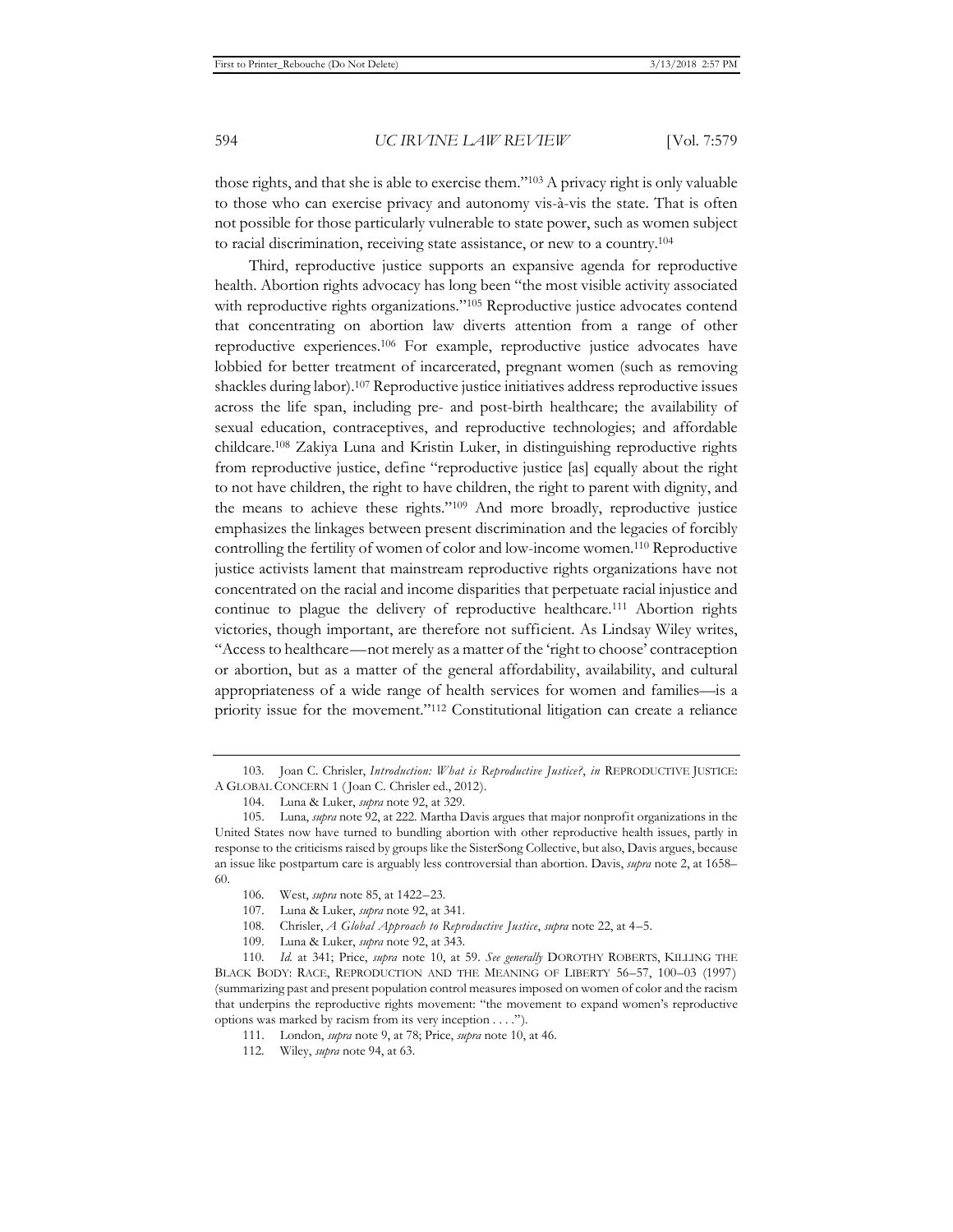those rights, and that she is able to exercise them."103 A privacy right is only valuable to those who can exercise privacy and autonomy vis-à-vis the state. That is often not possible for those particularly vulnerable to state power, such as women subject to racial discrimination, receiving state assistance, or new to a country.104

Third, reproductive justice supports an expansive agenda for reproductive health. Abortion rights advocacy has long been "the most visible activity associated with reproductive rights organizations."<sup>105</sup> Reproductive justice advocates contend that concentrating on abortion law diverts attention from a range of other reproductive experiences.106 For example, reproductive justice advocates have lobbied for better treatment of incarcerated, pregnant women (such as removing shackles during labor).107 Reproductive justice initiatives address reproductive issues across the life span, including pre- and post-birth healthcare; the availability of sexual education, contraceptives, and reproductive technologies; and affordable childcare.108 Zakiya Luna and Kristin Luker, in distinguishing reproductive rights from reproductive justice, define "reproductive justice [as] equally about the right to not have children, the right to have children, the right to parent with dignity, and the means to achieve these rights."109 And more broadly, reproductive justice emphasizes the linkages between present discrimination and the legacies of forcibly controlling the fertility of women of color and low-income women.110 Reproductive justice activists lament that mainstream reproductive rights organizations have not concentrated on the racial and income disparities that perpetuate racial injustice and continue to plague the delivery of reproductive healthcare.111 Abortion rights victories, though important, are therefore not sufficient. As Lindsay Wiley writes, "Access to healthcare—not merely as a matter of the 'right to choose' contraception or abortion, but as a matter of the general affordability, availability, and cultural appropriateness of a wide range of health services for women and families—is a priority issue for the movement."112 Constitutional litigation can create a reliance

<sup>103.</sup> Joan C. Chrisler, *Introduction: What is Reproductive Justice?*, *in* REPRODUCTIVE JUSTICE: A GLOBAL CONCERN 1 ( Joan C. Chrisler ed., 2012).

<sup>104.</sup> Luna & Luker, *supra* note 92, at 329.

<sup>105.</sup> Luna, *supra* note 92, at 222. Martha Davis argues that major nonprofit organizations in the United States now have turned to bundling abortion with other reproductive health issues, partly in response to the criticisms raised by groups like the SisterSong Collective, but also, Davis argues, because an issue like postpartum care is arguably less controversial than abortion. Davis, *supra* note 2, at 1658– 60.

<sup>106.</sup> West, *supra* note 85, at 1422–23.

<sup>107.</sup> Luna & Luker, *supra* note 92, at 341.

<sup>108.</sup> Chrisler, *A Global Approach to Reproductive Justice*, *supra* note 22, at 4–5.

<sup>109.</sup> Luna & Luker, *supra* note 92, at 343.

<sup>110</sup>*. Id.* at 341; Price, *supra* note 10, at 59. *See generally* DOROTHY ROBERTS, KILLING THE BLACK BODY: RACE, REPRODUCTION AND THE MEANING OF LIBERTY 56–57, 100–03 (1997) (summarizing past and present population control measures imposed on women of color and the racism that underpins the reproductive rights movement: "the movement to expand women's reproductive options was marked by racism from its very inception . . . .").

<sup>111.</sup> London, *supra* note 9, at 78; Price, *supra* note 10, at 46.

<sup>112.</sup> Wiley, *supra* note 94, at 63.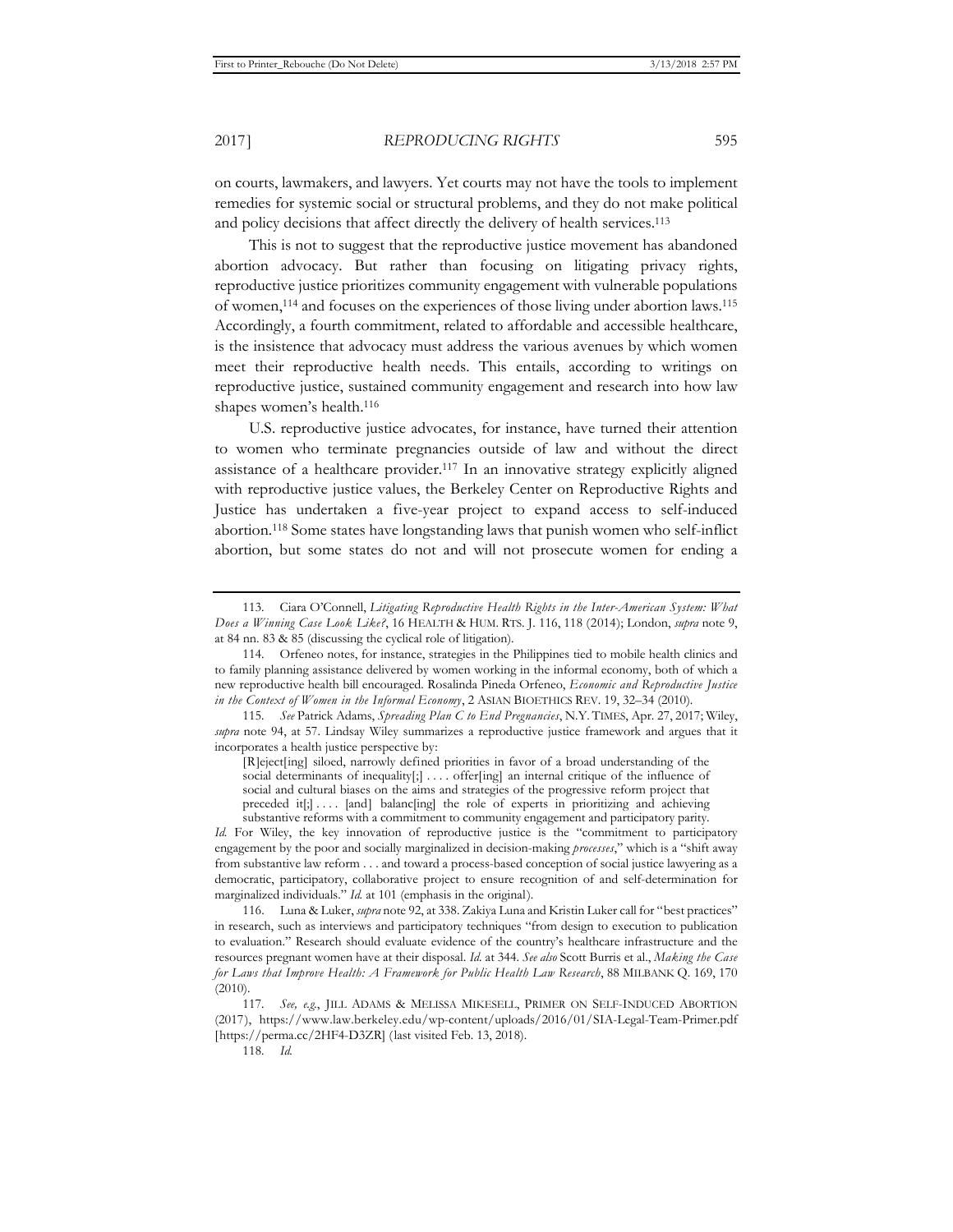on courts, lawmakers, and lawyers. Yet courts may not have the tools to implement remedies for systemic social or structural problems, and they do not make political and policy decisions that affect directly the delivery of health services.<sup>113</sup>

This is not to suggest that the reproductive justice movement has abandoned abortion advocacy. But rather than focusing on litigating privacy rights, reproductive justice prioritizes community engagement with vulnerable populations of women,114 and focuses on the experiences of those living under abortion laws.115 Accordingly, a fourth commitment, related to affordable and accessible healthcare, is the insistence that advocacy must address the various avenues by which women meet their reproductive health needs. This entails, according to writings on reproductive justice, sustained community engagement and research into how law shapes women's health.116

U.S. reproductive justice advocates, for instance, have turned their attention to women who terminate pregnancies outside of law and without the direct assistance of a healthcare provider.117 In an innovative strategy explicitly aligned with reproductive justice values, the Berkeley Center on Reproductive Rights and Justice has undertaken a five-year project to expand access to self-induced abortion.118 Some states have longstanding laws that punish women who self-inflict abortion, but some states do not and will not prosecute women for ending a

<sup>113.</sup> Ciara O'Connell, *Litigating Reproductive Health Rights in the Inter-American System: What Does a Winning Case Look Like?*, 16 HEALTH & HUM. RTS. J. 116, 118 (2014); London, *supra* note 9, at 84 nn. 83 & 85 (discussing the cyclical role of litigation).

<sup>114.</sup> Orfeneo notes, for instance, strategies in the Philippines tied to mobile health clinics and to family planning assistance delivered by women working in the informal economy, both of which a new reproductive health bill encouraged. Rosalinda Pineda Orfeneo, *Economic and Reproductive Justice in the Context of Women in the Informal Economy*, 2 ASIAN BIOETHICS REV. 19, 32–34 (2010).

<sup>115</sup>*. See* Patrick Adams, *Spreading Plan C to End Pregnancies*, N.Y. TIMES, Apr. 27, 2017; Wiley, *supra* note 94, at 57. Lindsay Wiley summarizes a reproductive justice framework and argues that it incorporates a health justice perspective by:

<sup>[</sup>R]eject[ing] siloed, narrowly defined priorities in favor of a broad understanding of the social determinants of inequality[;] .... offer[ing] an internal critique of the influence of social and cultural biases on the aims and strategies of the progressive reform project that preceded it[;] . . . . [and] balanc[ing] the role of experts in prioritizing and achieving substantive reforms with a commitment to community engagement and participatory parity.

*Id.* For Wiley, the key innovation of reproductive justice is the "commitment to participatory engagement by the poor and socially marginalized in decision-making *processes*," which is a "shift away from substantive law reform . . . and toward a process-based conception of social justice lawyering as a democratic, participatory, collaborative project to ensure recognition of and self-determination for marginalized individuals." *Id.* at 101 (emphasis in the original).

<sup>116.</sup> Luna & Luker, *supra* note 92, at 338. Zakiya Luna and Kristin Luker call for "best practices" in research, such as interviews and participatory techniques "from design to execution to publication to evaluation." Research should evaluate evidence of the country's healthcare infrastructure and the resources pregnant women have at their disposal. *Id.* at 344. *See also* Scott Burris et al., *Making the Case for Laws that Improve Health: A Framework for Public Health Law Research*, 88 MILBANK Q. 169, 170 (2010).

<sup>117</sup>*. See, e.g.*, JILL ADAMS & MELISSA MIKESELL, PRIMER ON SELF-INDUCED ABORTION (2017), https://www.law.berkeley.edu/wp-content/uploads/2016/01/SIA-Legal-Team-Primer.pdf [https://perma.cc/2HF4-D3ZR] (last visited Feb. 13, 2018).

<sup>118</sup>*. Id.*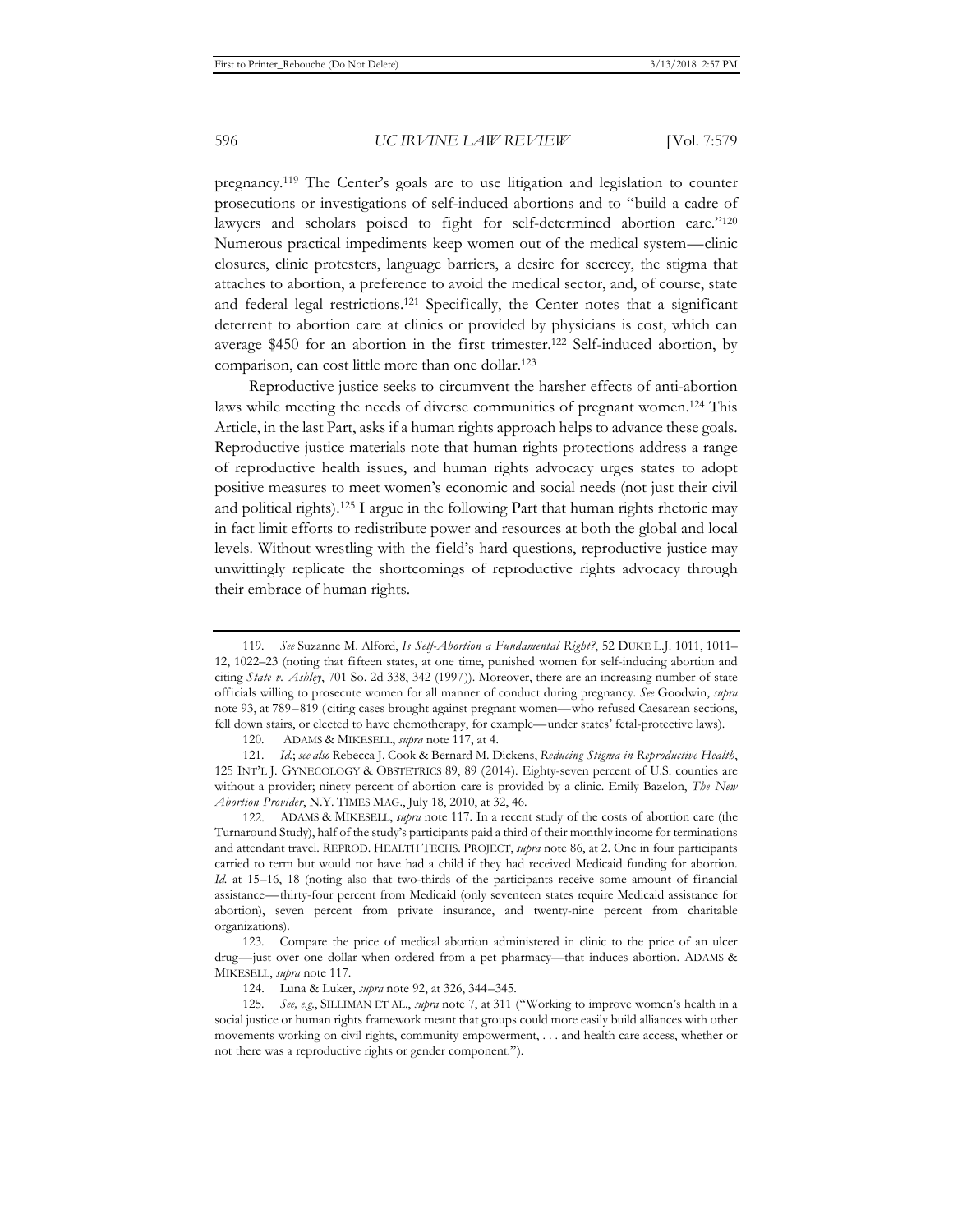pregnancy.119 The Center's goals are to use litigation and legislation to counter prosecutions or investigations of self-induced abortions and to "build a cadre of lawyers and scholars poised to fight for self-determined abortion care."<sup>120</sup> Numerous practical impediments keep women out of the medical system—clinic closures, clinic protesters, language barriers, a desire for secrecy, the stigma that attaches to abortion, a preference to avoid the medical sector, and, of course, state and federal legal restrictions.121 Specifically, the Center notes that a significant deterrent to abortion care at clinics or provided by physicians is cost, which can average \$450 for an abortion in the first trimester.122 Self-induced abortion, by comparison, can cost little more than one dollar.123

Reproductive justice seeks to circumvent the harsher effects of anti-abortion laws while meeting the needs of diverse communities of pregnant women.124 This Article, in the last Part, asks if a human rights approach helps to advance these goals. Reproductive justice materials note that human rights protections address a range of reproductive health issues, and human rights advocacy urges states to adopt positive measures to meet women's economic and social needs (not just their civil and political rights).125 I argue in the following Part that human rights rhetoric may in fact limit efforts to redistribute power and resources at both the global and local levels. Without wrestling with the field's hard questions, reproductive justice may unwittingly replicate the shortcomings of reproductive rights advocacy through their embrace of human rights.

122. ADAMS & MIKESELL, *supra* note 117. In a recent study of the costs of abortion care (the Turnaround Study), half of the study's participants paid a third of their monthly income for terminations and attendant travel. REPROD. HEALTH TECHS. PROJECT, *supra* note 86, at 2. One in four participants carried to term but would not have had a child if they had received Medicaid funding for abortion. *Id.* at 15–16, 18 (noting also that two-thirds of the participants receive some amount of financial assistance—thirty-four percent from Medicaid (only seventeen states require Medicaid assistance for abortion), seven percent from private insurance, and twenty-nine percent from charitable organizations).

<sup>119</sup>*. See* Suzanne M. Alford, *Is Self-Abortion a Fundamental Right?*, 52 DUKE L.J. 1011, 1011– 12, 1022–23 (noting that fifteen states, at one time, punished women for self-inducing abortion and citing *State v. Ashley*, 701 So. 2d 338, 342 (1997)). Moreover, there are an increasing number of state officials willing to prosecute women for all manner of conduct during pregnancy. *See* Goodwin, *supra* note 93, at 789–819 (citing cases brought against pregnant women—who refused Caesarean sections, fell down stairs, or elected to have chemotherapy, for example—under states' fetal-protective laws).

<sup>120</sup>*.* ADAMS & MIKESELL, *supra* note 117, at 4.

<sup>121</sup>*. Id.*; *see also* Rebecca J. Cook & Bernard M. Dickens, *Reducing Stigma in Reproductive Health*, 125 INT'L J. GYNECOLOGY & OBSTETRICS 89, 89 (2014). Eighty-seven percent of U.S. counties are without a provider; ninety percent of abortion care is provided by a clinic. Emily Bazelon, *The New Abortion Provider*, N.Y. TIMES MAG., July 18, 2010, at 32, 46.

<sup>123.</sup> Compare the price of medical abortion administered in clinic to the price of an ulcer drug—just over one dollar when ordered from a pet pharmacy—that induces abortion. ADAMS & MIKESELL, *supra* note 117.

<sup>124.</sup> Luna & Luker, *supra* note 92, at 326, 344–345.

<sup>125</sup>*. See, e.g.*, SILLIMAN ET AL., *supra* note 7, at 311 ("Working to improve women's health in a social justice or human rights framework meant that groups could more easily build alliances with other movements working on civil rights, community empowerment, . . . and health care access, whether or not there was a reproductive rights or gender component.").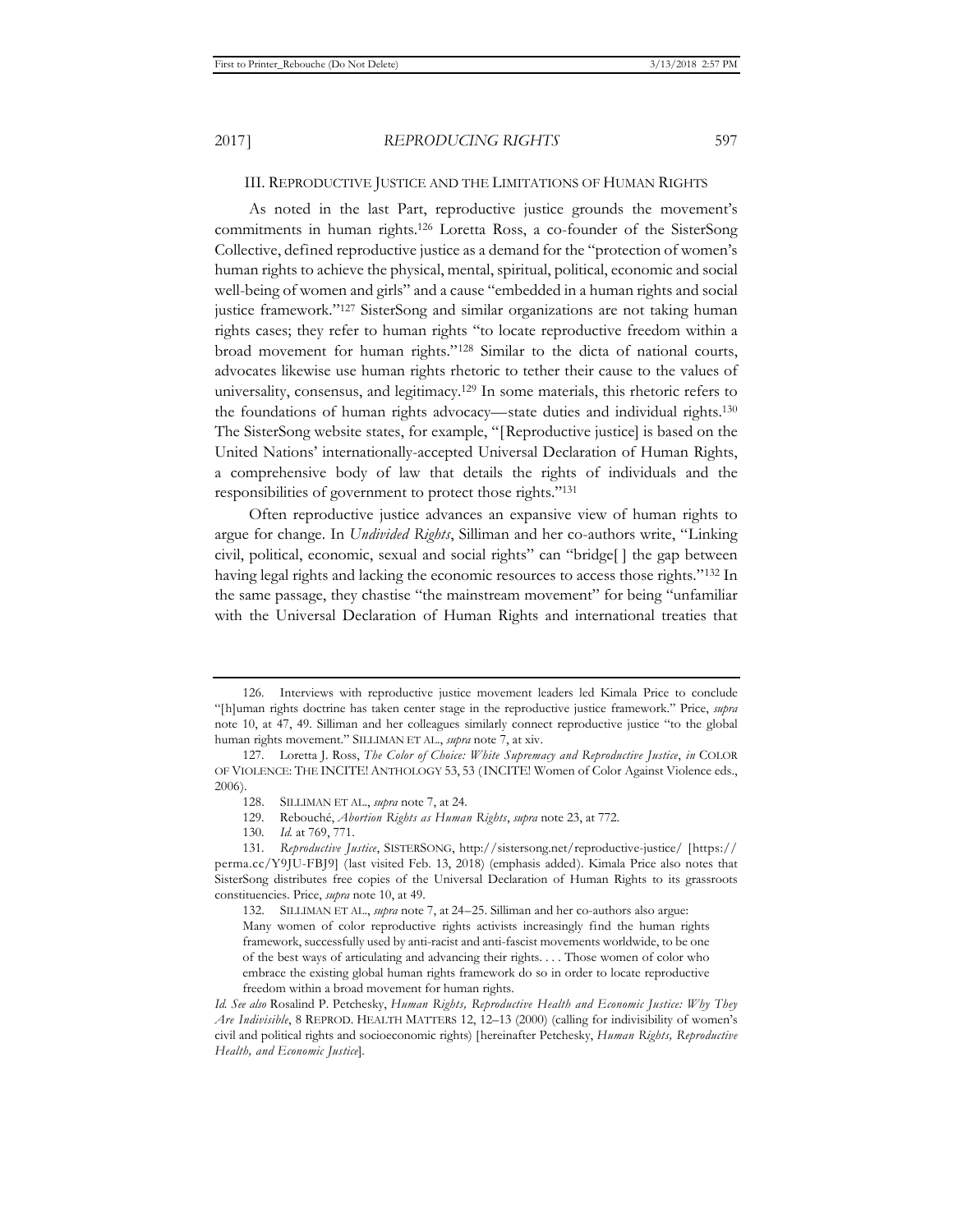#### III. REPRODUCTIVE JUSTICE AND THE LIMITATIONS OF HUMAN RIGHTS

As noted in the last Part, reproductive justice grounds the movement's commitments in human rights.126 Loretta Ross, a co-founder of the SisterSong Collective, defined reproductive justice as a demand for the "protection of women's human rights to achieve the physical, mental, spiritual, political, economic and social well-being of women and girls" and a cause "embedded in a human rights and social justice framework."<sup>127</sup> SisterSong and similar organizations are not taking human rights cases; they refer to human rights "to locate reproductive freedom within a broad movement for human rights."128 Similar to the dicta of national courts, advocates likewise use human rights rhetoric to tether their cause to the values of universality, consensus, and legitimacy.129 In some materials, this rhetoric refers to the foundations of human rights advocacy—state duties and individual rights.130 The SisterSong website states, for example, "[Reproductive justice] is based on the United Nations' internationally-accepted Universal Declaration of Human Rights, a comprehensive body of law that details the rights of individuals and the responsibilities of government to protect those rights."131

Often reproductive justice advances an expansive view of human rights to argue for change. In *Undivided Rights*, Silliman and her co-authors write, "Linking civil, political, economic, sexual and social rights" can "bridge[ ] the gap between having legal rights and lacking the economic resources to access those rights."132 In the same passage, they chastise "the mainstream movement" for being "unfamiliar with the Universal Declaration of Human Rights and international treaties that

<sup>126.</sup> Interviews with reproductive justice movement leaders led Kimala Price to conclude "[h]uman rights doctrine has taken center stage in the reproductive justice framework." Price, *supra* note 10, at 47, 49. Silliman and her colleagues similarly connect reproductive justice "to the global human rights movement." SILLIMAN ET AL., *supra* note 7, at xiv.

<sup>127.</sup> Loretta J. Ross, *The Color of Choice: White Supremacy and Reproductive Justice*, *in* COLOR OF VIOLENCE: THE INCITE! ANTHOLOGY 53, 53 (INCITE! Women of Color Against Violence eds., 2006).

<sup>128.</sup> SILLIMAN ET AL., *supra* note 7, at 24.

<sup>129.</sup> Rebouché, *Abortion Rights as Human Rights*, *supra* note 23, at 772.

<sup>130</sup>*. Id.* at 769, 771.

<sup>131</sup>*. Reproductive Justice*, SISTERSONG, http://sistersong.net/reproductive-justice/ [https:// perma.cc/Y9JU-FBJ9] (last visited Feb. 13, 2018) (emphasis added). Kimala Price also notes that SisterSong distributes free copies of the Universal Declaration of Human Rights to its grassroots constituencies. Price, *supra* note 10, at 49.

<sup>132.</sup> SILLIMAN ET AL., *supra* note 7, at 24–25. Silliman and her co-authors also argue: Many women of color reproductive rights activists increasingly find the human rights framework, successfully used by anti-racist and anti-fascist movements worldwide, to be one of the best ways of articulating and advancing their rights. . . . Those women of color who embrace the existing global human rights framework do so in order to locate reproductive freedom within a broad movement for human rights.

*Id. See also* Rosalind P. Petchesky, *Human Rights, Reproductive Health and Economic Justice: Why They Are Indivisible*, 8 REPROD. HEALTH MATTERS 12, 12–13 (2000) (calling for indivisibility of women's civil and political rights and socioeconomic rights) [hereinafter Petchesky, *Human Rights, Reproductive Health, and Economic Justice*].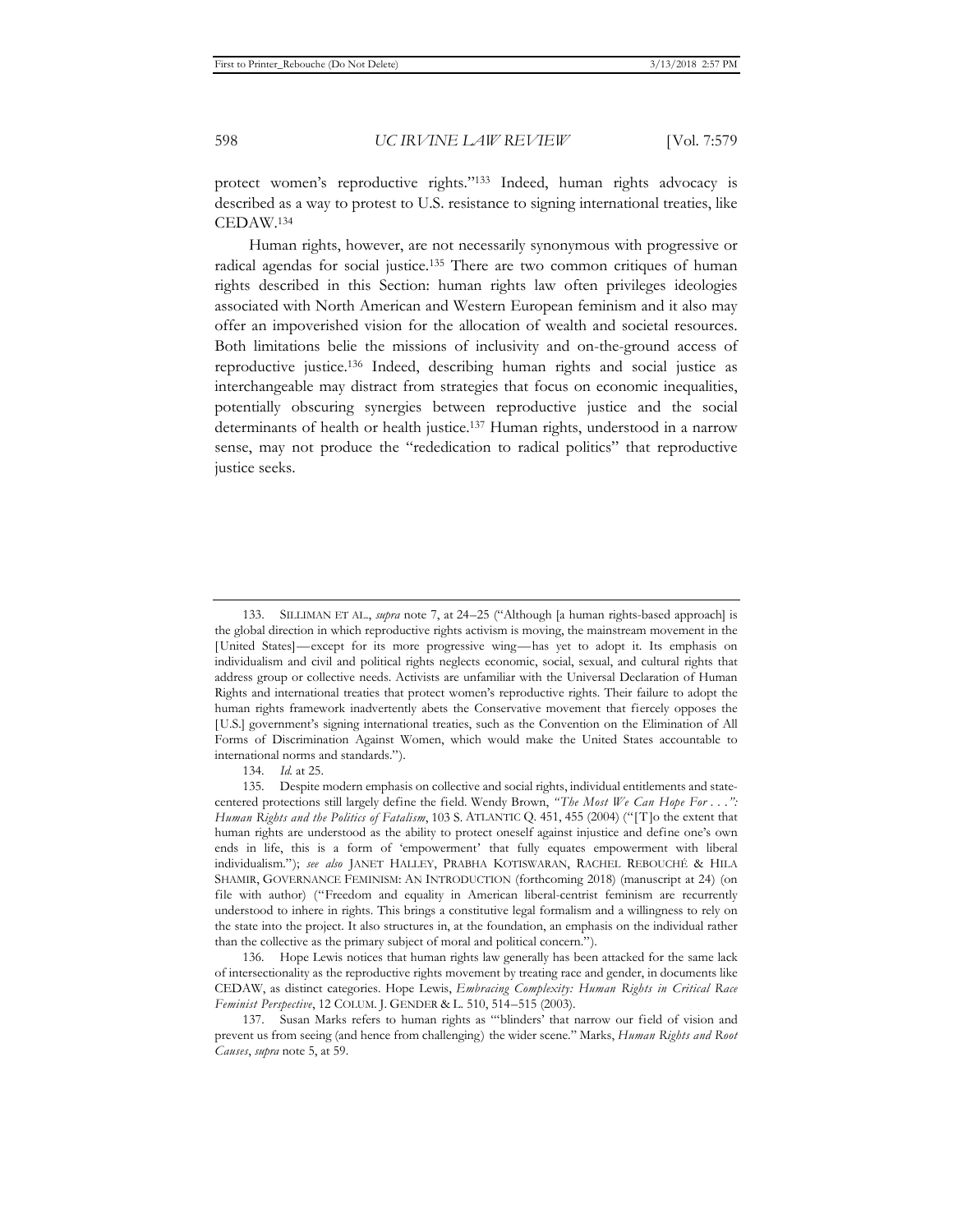protect women's reproductive rights."133 Indeed, human rights advocacy is described as a way to protest to U.S. resistance to signing international treaties, like CEDAW.134

Human rights, however, are not necessarily synonymous with progressive or radical agendas for social justice.135 There are two common critiques of human rights described in this Section: human rights law often privileges ideologies associated with North American and Western European feminism and it also may offer an impoverished vision for the allocation of wealth and societal resources. Both limitations belie the missions of inclusivity and on-the-ground access of reproductive justice.136 Indeed, describing human rights and social justice as interchangeable may distract from strategies that focus on economic inequalities, potentially obscuring synergies between reproductive justice and the social determinants of health or health justice.137 Human rights, understood in a narrow sense, may not produce the "rededication to radical politics" that reproductive justice seeks.

136. Hope Lewis notices that human rights law generally has been attacked for the same lack of intersectionality as the reproductive rights movement by treating race and gender, in documents like CEDAW, as distinct categories. Hope Lewis, *Embracing Complexity: Human Rights in Critical Race Feminist Perspective*, 12 COLUM. J. GENDER & L. 510, 514–515 (2003).

<sup>133.</sup> SILLIMAN ET AL., *supra* note 7, at 24–25 ("Although [a human rights-based approach] is the global direction in which reproductive rights activism is moving, the mainstream movement in the [United States]—except for its more progressive wing—has yet to adopt it. Its emphasis on individualism and civil and political rights neglects economic, social, sexual, and cultural rights that address group or collective needs. Activists are unfamiliar with the Universal Declaration of Human Rights and international treaties that protect women's reproductive rights. Their failure to adopt the human rights framework inadvertently abets the Conservative movement that fiercely opposes the [U.S.] government's signing international treaties, such as the Convention on the Elimination of All Forms of Discrimination Against Women, which would make the United States accountable to international norms and standards.").

<sup>134</sup>*. Id.* at 25.

<sup>135.</sup> Despite modern emphasis on collective and social rights, individual entitlements and statecentered protections still largely define the field. Wendy Brown, *" The Most We Can Hope For . . .": Human Rights and the Politics of Fatalism*, 103 S. ATLANTIC Q. 451, 455 (2004) ("[T]o the extent that human rights are understood as the ability to protect oneself against injustice and define one's own ends in life, this is a form of 'empowerment' that fully equates empowerment with liberal individualism."); *see also* JANET HALLEY, PRABHA KOTISWARAN, RACHEL REBOUCHÉ & HILA SHAMIR, GOVERNANCE FEMINISM: AN INTRODUCTION (forthcoming 2018) (manuscript at 24) (on file with author) ("Freedom and equality in American liberal-centrist feminism are recurrently understood to inhere in rights. This brings a constitutive legal formalism and a willingness to rely on the state into the project. It also structures in, at the foundation, an emphasis on the individual rather than the collective as the primary subject of moral and political concern.").

<sup>137.</sup> Susan Marks refers to human rights as "'blinders' that narrow our field of vision and prevent us from seeing (and hence from challenging) the wider scene." Marks, *Human Rights and Root Causes*, *supra* note 5, at 59.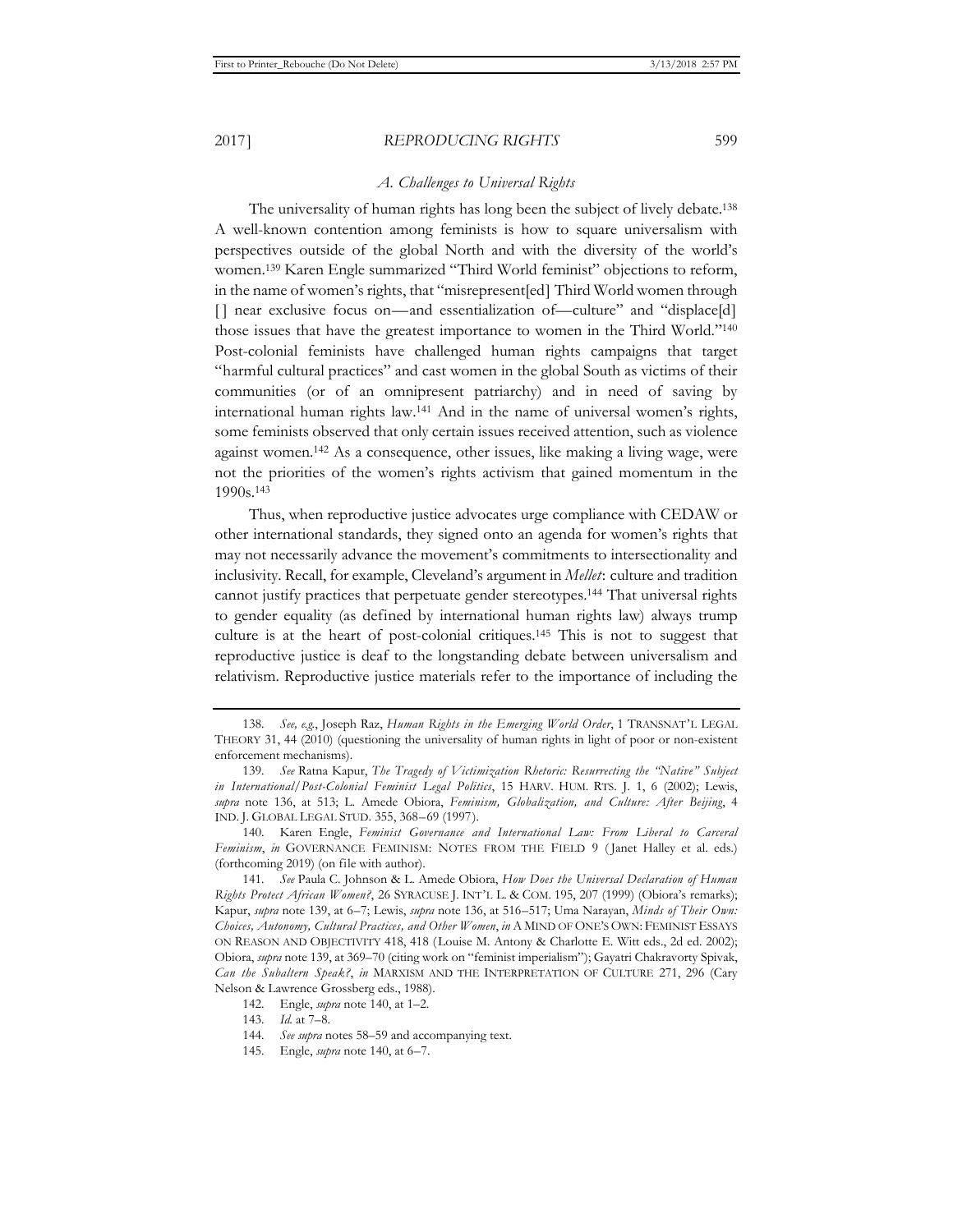#### *A. Challenges to Universal Rights*

The universality of human rights has long been the subject of lively debate.<sup>138</sup> A well-known contention among feminists is how to square universalism with perspectives outside of the global North and with the diversity of the world's women.139 Karen Engle summarized "Third World feminist" objections to reform, in the name of women's rights, that "misrepresent[ed] Third World women through [] near exclusive focus on—and essentialization of—culture" and "displace[d] those issues that have the greatest importance to women in the Third World."140 Post-colonial feminists have challenged human rights campaigns that target "harmful cultural practices" and cast women in the global South as victims of their communities (or of an omnipresent patriarchy) and in need of saving by international human rights law.141 And in the name of universal women's rights, some feminists observed that only certain issues received attention, such as violence against women.142 As a consequence, other issues, like making a living wage, were not the priorities of the women's rights activism that gained momentum in the 1990s.143

Thus, when reproductive justice advocates urge compliance with CEDAW or other international standards, they signed onto an agenda for women's rights that may not necessarily advance the movement's commitments to intersectionality and inclusivity. Recall, for example, Cleveland's argument in *Mellet*: culture and tradition cannot justify practices that perpetuate gender stereotypes.144 That universal rights to gender equality (as defined by international human rights law) always trump culture is at the heart of post-colonial critiques.145 This is not to suggest that reproductive justice is deaf to the longstanding debate between universalism and relativism. Reproductive justice materials refer to the importance of including the

140. Karen Engle, *Feminist Governance and International Law: From Liberal to Carceral*  Feminism, in GOVERNANCE FEMINISM: NOTES FROM THE FIELD 9 (Janet Halley et al. eds.) (forthcoming 2019) (on file with author).

145. Engle, *supra* note 140, at 6–7.

<sup>138</sup>*. See, e.g.*, Joseph Raz, *Human Rights in the Emerging World Order*, 1 TRANSNAT'L LEGAL THEORY 31, 44 (2010) (questioning the universality of human rights in light of poor or non-existent enforcement mechanisms).

<sup>139</sup>*. See* Ratna Kapur, *The Tragedy of Victimization Rhetoric: Resurrecting the "Native" Subject in International/Post-Colonial Feminist Legal Politics*, 15 HARV. HUM. RTS. J. 1, 6 (2002); Lewis, *supra* note 136, at 513; L. Amede Obiora, *Feminism, Globalization, and Culture: After Beijing*, 4 IND. J. GLOBAL LEGAL STUD. 355, 368–69 (1997).

<sup>141</sup>*. See* Paula C. Johnson & L. Amede Obiora, *How Does the Universal Declaration of Human Rights Protect African Women?*, 26 SYRACUSE J. INT'L L. & COM. 195, 207 (1999) (Obiora's remarks); Kapur, *supra* note 139, at 6–7; Lewis, *supra* note 136, at 516–517; Uma Narayan, *Minds of Their Own: Choices, Autonomy, Cultural Practices, and Other Women*, *in* A MIND OF ONE'S OWN: FEMINIST ESSAYS ON REASON AND OBJECTIVITY 418, 418 (Louise M. Antony & Charlotte E. Witt eds., 2d ed. 2002); Obiora, *supra* note 139, at 369–70 (citing work on "feminist imperialism"); Gayatri Chakravorty Spivak, *Can the Subaltern Speak?*, *in* MARXISM AND THE INTERPRETATION OF CULTURE 271, 296 (Cary Nelson & Lawrence Grossberg eds., 1988).

<sup>142.</sup> Engle, *supra* note 140, at 1–2.

<sup>143</sup>*. Id.* at 7–8.

<sup>144</sup>*. See supra* notes 58–59 and accompanying text.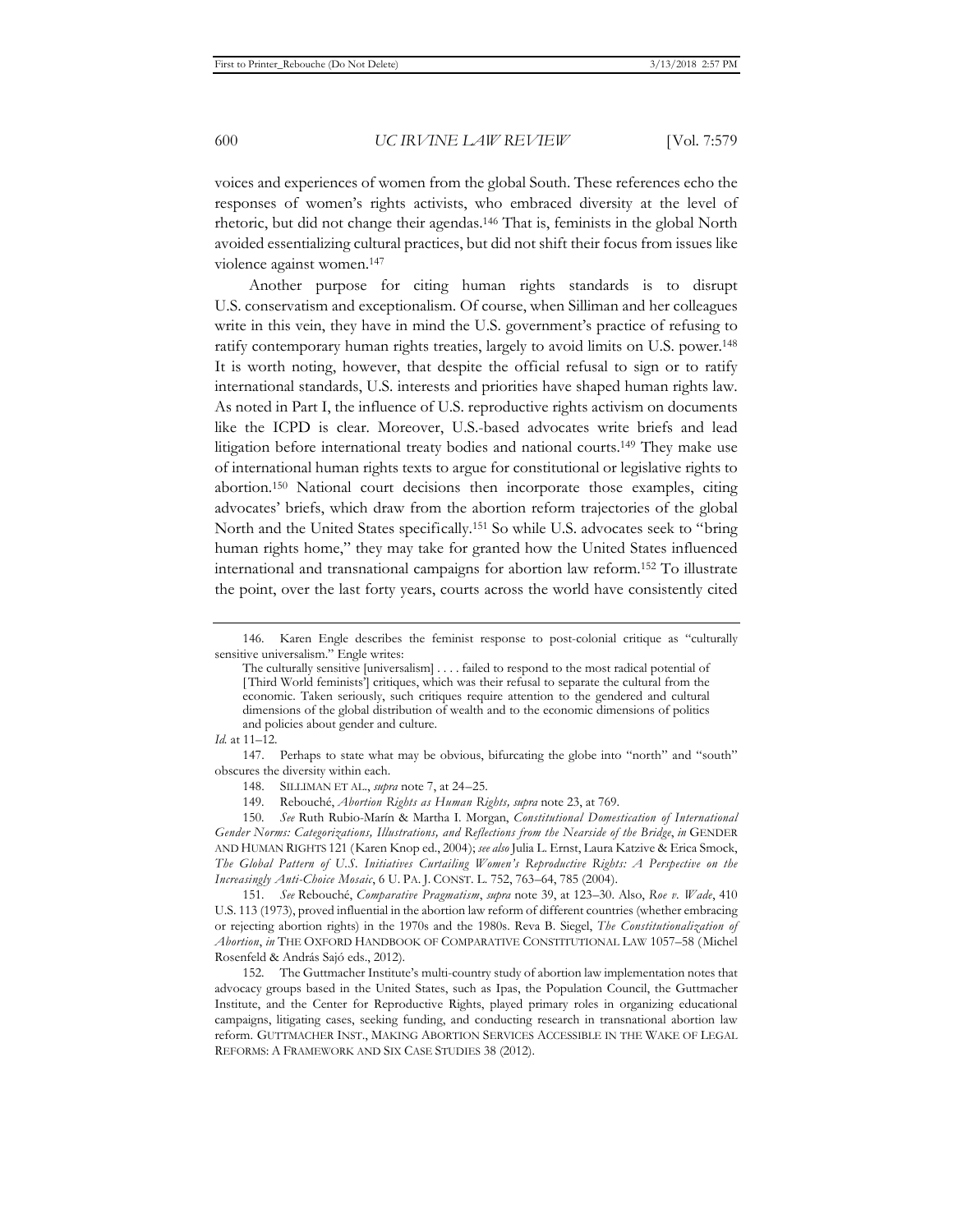voices and experiences of women from the global South. These references echo the responses of women's rights activists, who embraced diversity at the level of rhetoric, but did not change their agendas.146 That is, feminists in the global North avoided essentializing cultural practices, but did not shift their focus from issues like violence against women.147

Another purpose for citing human rights standards is to disrupt U.S. conservatism and exceptionalism. Of course, when Silliman and her colleagues write in this vein, they have in mind the U.S. government's practice of refusing to ratify contemporary human rights treaties, largely to avoid limits on U.S. power.148 It is worth noting, however, that despite the official refusal to sign or to ratify international standards, U.S. interests and priorities have shaped human rights law. As noted in Part I, the influence of U.S. reproductive rights activism on documents like the ICPD is clear. Moreover, U.S.-based advocates write briefs and lead litigation before international treaty bodies and national courts.149 They make use of international human rights texts to argue for constitutional or legislative rights to abortion.150 National court decisions then incorporate those examples, citing advocates' briefs, which draw from the abortion reform trajectories of the global North and the United States specifically.151 So while U.S. advocates seek to "bring human rights home," they may take for granted how the United States influenced international and transnational campaigns for abortion law reform.152 To illustrate the point, over the last forty years, courts across the world have consistently cited

*Id.* at 11–12.

151*. See* Rebouché, *Comparative Pragmatism*, *supra* note 39, at 123–30. Also, *Roe v. Wade*, 410 U.S. 113 (1973), proved influential in the abortion law reform of different countries (whether embracing or rejecting abortion rights) in the 1970s and the 1980s. Reva B. Siegel, *The Constitutionalization of Abortion*, *in* THE OXFORD HANDBOOK OF COMPARATIVE CONSTITUTIONAL LAW 1057–58 (Michel Rosenfeld & András Sajó eds., 2012).

152. The Guttmacher Institute's multi-country study of abortion law implementation notes that advocacy groups based in the United States, such as Ipas, the Population Council, the Guttmacher Institute, and the Center for Reproductive Rights, played primary roles in organizing educational campaigns, litigating cases, seeking funding, and conducting research in transnational abortion law reform. GUTTMACHER INST., MAKING ABORTION SERVICES ACCESSIBLE IN THE WAKE OF LEGAL REFORMS: A FRAMEWORK AND SIX CASE STUDIES 38 (2012).

<sup>146.</sup> Karen Engle describes the feminist response to post-colonial critique as "culturally sensitive universalism." Engle writes:

The culturally sensitive [universalism] . . . . failed to respond to the most radical potential of [Third World feminists'] critiques, which was their refusal to separate the cultural from the economic. Taken seriously, such critiques require attention to the gendered and cultural dimensions of the global distribution of wealth and to the economic dimensions of politics and policies about gender and culture.

<sup>147.</sup> Perhaps to state what may be obvious, bifurcating the globe into "north" and "south" obscures the diversity within each.

<sup>148.</sup> SILLIMAN ET AL., *supra* note 7, at 24–25.

<sup>149.</sup> Rebouché, *Abortion Rights as Human Rights, supra* note 23, at 769.

<sup>150</sup>*. See* Ruth Rubio-Marín & Martha I. Morgan, *Constitutional Domestication of International Gender Norms: Categorizations, Illustrations, and Reflections from the Nearside of the Bridge*, *in* GENDER AND HUMAN RIGHTS 121 (Karen Knop ed., 2004); *see also* Julia L. Ernst, Laura Katzive & Erica Smock, *The Global Pattern of U.S. Initiatives Curtailing Women's Reproductive Rights: A Perspective on the Increasingly Anti-Choice Mosaic*, 6 U. PA. J. CONST. L. 752, 763–64, 785 (2004).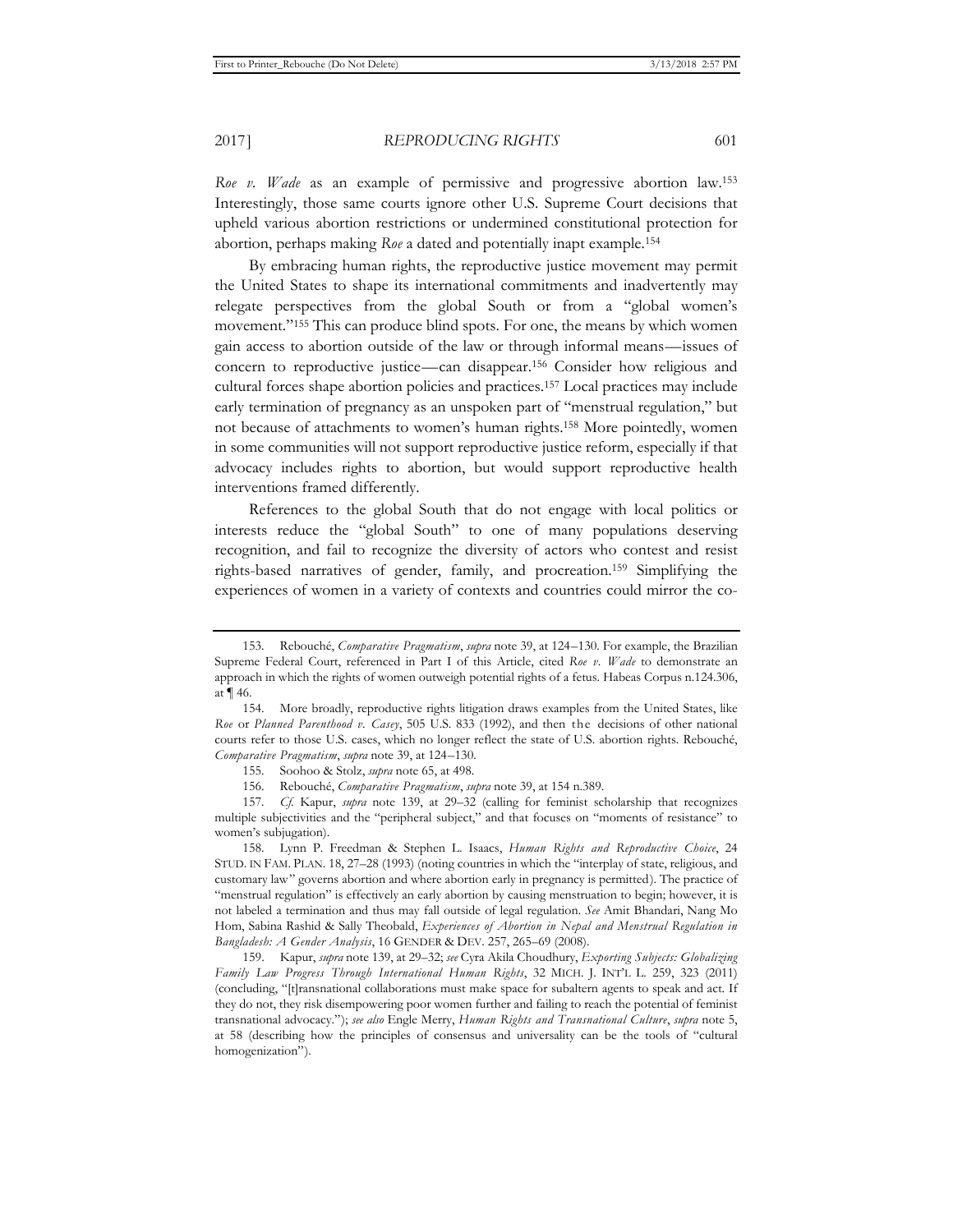*Roe v. Wade* as an example of permissive and progressive abortion law.153 Interestingly, those same courts ignore other U.S. Supreme Court decisions that upheld various abortion restrictions or undermined constitutional protection for abortion, perhaps making *Roe* a dated and potentially inapt example.154

By embracing human rights, the reproductive justice movement may permit the United States to shape its international commitments and inadvertently may relegate perspectives from the global South or from a "global women's movement."155 This can produce blind spots. For one, the means by which women gain access to abortion outside of the law or through informal means—issues of concern to reproductive justice—can disappear.156 Consider how religious and cultural forces shape abortion policies and practices.157 Local practices may include early termination of pregnancy as an unspoken part of "menstrual regulation," but not because of attachments to women's human rights.158 More pointedly, women in some communities will not support reproductive justice reform, especially if that advocacy includes rights to abortion, but would support reproductive health interventions framed differently.

References to the global South that do not engage with local politics or interests reduce the "global South" to one of many populations deserving recognition, and fail to recognize the diversity of actors who contest and resist rights-based narratives of gender, family, and procreation.159 Simplifying the experiences of women in a variety of contexts and countries could mirror the co-

<sup>153.</sup> Rebouché, *Comparative Pragmatism*, *supra* note 39, at 124–130. For example, the Brazilian Supreme Federal Court, referenced in Part I of this Article, cited *Roe v. Wade* to demonstrate an approach in which the rights of women outweigh potential rights of a fetus. Habeas Corpus n.124.306, at ¶ 46.

<sup>154.</sup> More broadly, reproductive rights litigation draws examples from the United States, like *Roe* or *Planned Parenthood v. Casey*, 505 U.S. 833 (1992), and then the decisions of other national courts refer to those U.S. cases, which no longer reflect the state of U.S. abortion rights. Rebouché, *Comparative Pragmatism*, *supra* note 39, at 124–130.

<sup>155.</sup> Soohoo & Stolz, *supra* note 65, at 498.

<sup>156.</sup> Rebouché, *Comparative Pragmatism*, *supra* note 39, at 154 n.389.

<sup>157</sup>*. Cf.* Kapur, *supra* note 139, at 29–32 (calling for feminist scholarship that recognizes multiple subjectivities and the "peripheral subject," and that focuses on "moments of resistance" to women's subjugation).

<sup>158.</sup> Lynn P. Freedman & Stephen L. Isaacs, *Human Rights and Reproductive Choice*, 24 STUD. IN FAM. PLAN. 18, 27–28 (1993) (noting countries in which the "interplay of state, religious, and customary law" governs abortion and where abortion early in pregnancy is permitted). The practice of "menstrual regulation" is effectively an early abortion by causing menstruation to begin; however, it is not labeled a termination and thus may fall outside of legal regulation. *See* Amit Bhandari, Nang Mo Hom, Sabina Rashid & Sally Theobald, *Experiences of Abortion in Nepal and Menstrual Regulation in Bangladesh: A Gender Analysis*, 16 GENDER & DEV. 257, 265–69 (2008).

<sup>159.</sup> Kapur, *supra* note 139, at 29–32; *see* Cyra Akila Choudhury, *Exporting Subjects: Globalizing Family Law Progress Through International Human Rights*, 32 MICH. J. INT'L L. 259, 323 (2011) (concluding, "[t]ransnational collaborations must make space for subaltern agents to speak and act. If they do not, they risk disempowering poor women further and failing to reach the potential of feminist transnational advocacy."); *see also* Engle Merry, *Human Rights and Transnational Culture*, *supra* note 5, at 58 (describing how the principles of consensus and universality can be the tools of "cultural homogenization").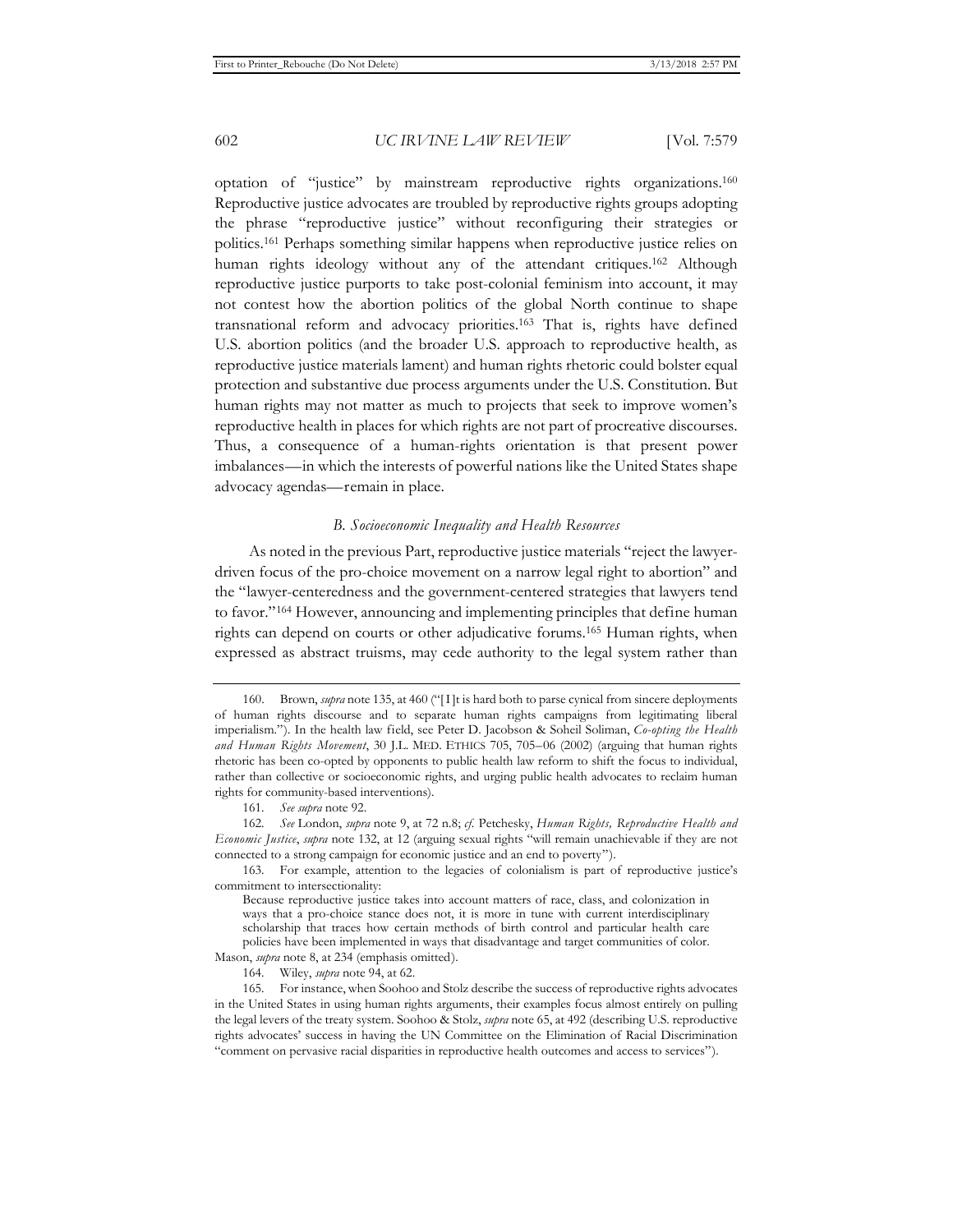optation of "justice" by mainstream reproductive rights organizations.160 Reproductive justice advocates are troubled by reproductive rights groups adopting the phrase "reproductive justice" without reconfiguring their strategies or politics.161 Perhaps something similar happens when reproductive justice relies on human rights ideology without any of the attendant critiques.162 Although reproductive justice purports to take post-colonial feminism into account, it may not contest how the abortion politics of the global North continue to shape transnational reform and advocacy priorities.163 That is, rights have defined U.S. abortion politics (and the broader U.S. approach to reproductive health, as reproductive justice materials lament) and human rights rhetoric could bolster equal protection and substantive due process arguments under the U.S. Constitution. But human rights may not matter as much to projects that seek to improve women's reproductive health in places for which rights are not part of procreative discourses. Thus, a consequence of a human-rights orientation is that present power imbalances—in which the interests of powerful nations like the United States shape advocacy agendas—remain in place.

## *B. Socioeconomic Inequality and Health Resources*

As noted in the previous Part, reproductive justice materials "reject the lawyerdriven focus of the pro-choice movement on a narrow legal right to abortion" and the "lawyer-centeredness and the government-centered strategies that lawyers tend to favor."164 However, announcing and implementing principles that define human rights can depend on courts or other adjudicative forums.165 Human rights, when expressed as abstract truisms, may cede authority to the legal system rather than

<sup>160.</sup> Brown, *supra* note 135, at 460 ("[I]t is hard both to parse cynical from sincere deployments of human rights discourse and to separate human rights campaigns from legitimating liberal imperialism."). In the health law field, see Peter D. Jacobson & Soheil Soliman, *Co-opting the Health and Human Rights Movement*, 30 J.L. MED. ETHICS 705, 705–06 (2002) (arguing that human rights rhetoric has been co-opted by opponents to public health law reform to shift the focus to individual, rather than collective or socioeconomic rights, and urging public health advocates to reclaim human rights for community-based interventions).

<sup>161</sup>*. See supra* note 92.

<sup>162</sup>*. See* London, *supra* note 9, at 72 n.8; *cf.* Petchesky, *Human Rights, Reproductive Health and Economic Justice*, *supra* note 132, at 12 (arguing sexual rights "will remain unachievable if they are not connected to a strong campaign for economic justice and an end to poverty").

<sup>163.</sup> For example, attention to the legacies of colonialism is part of reproductive justice's commitment to intersectionality:

Because reproductive justice takes into account matters of race, class, and colonization in ways that a pro-choice stance does not, it is more in tune with current interdisciplinary scholarship that traces how certain methods of birth control and particular health care policies have been implemented in ways that disadvantage and target communities of color. Mason, *supra* note 8, at 234 (emphasis omitted).

<sup>164.</sup> Wiley, *supra* note 94, at 62.

<sup>165.</sup> For instance, when Soohoo and Stolz describe the success of reproductive rights advocates in the United States in using human rights arguments, their examples focus almost entirely on pulling the legal levers of the treaty system. Soohoo & Stolz, *supra* note 65, at 492 (describing U.S. reproductive rights advocates' success in having the UN Committee on the Elimination of Racial Discrimination "comment on pervasive racial disparities in reproductive health outcomes and access to services").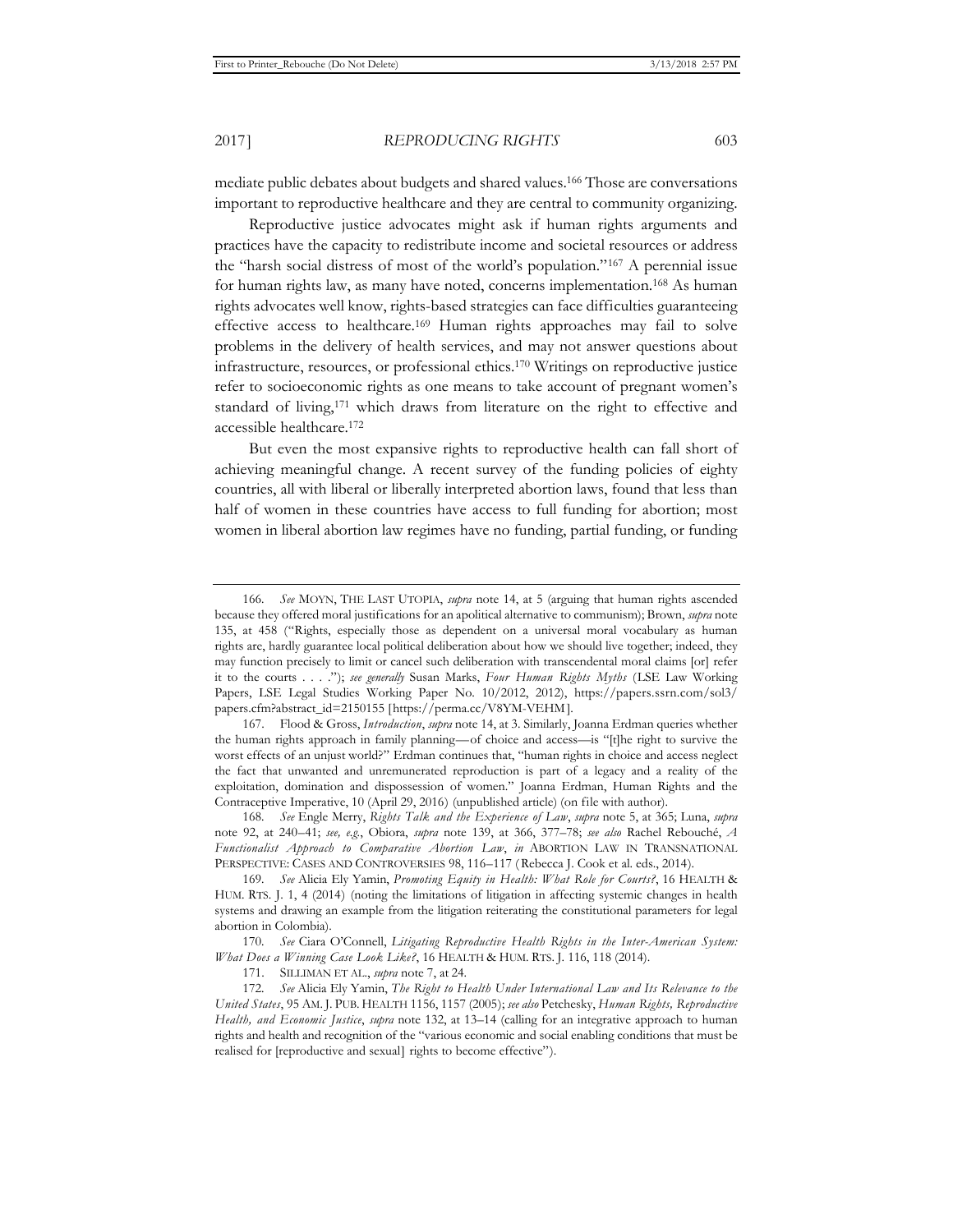mediate public debates about budgets and shared values.166 Those are conversations important to reproductive healthcare and they are central to community organizing.

Reproductive justice advocates might ask if human rights arguments and practices have the capacity to redistribute income and societal resources or address the "harsh social distress of most of the world's population."167 A perennial issue for human rights law, as many have noted, concerns implementation.168 As human rights advocates well know, rights-based strategies can face difficulties guaranteeing effective access to healthcare.169 Human rights approaches may fail to solve problems in the delivery of health services, and may not answer questions about infrastructure, resources, or professional ethics.170 Writings on reproductive justice refer to socioeconomic rights as one means to take account of pregnant women's standard of living,171 which draws from literature on the right to effective and accessible healthcare.172

But even the most expansive rights to reproductive health can fall short of achieving meaningful change. A recent survey of the funding policies of eighty countries, all with liberal or liberally interpreted abortion laws, found that less than half of women in these countries have access to full funding for abortion; most women in liberal abortion law regimes have no funding, partial funding, or funding

168*. See* Engle Merry, *Rights Talk and the Experience of Law*, *supra* note 5, at 365; Luna, *supra* note 92, at 240–41; *see, e.g.*, Obiora, *supra* note 139, at 366, 377–78; *see also* Rachel Rebouché, *A Functionalist Approach to Comparative Abortion Law*, *in* ABORTION LAW IN TRANSNATIONAL PERSPECTIVE: CASES AND CONTROVERSIES 98, 116–117 ( Rebecca J. Cook et al. eds., 2014).

<sup>166</sup>*. See* MOYN, THE LAST UTOPIA, *supra* note 14, at 5 (arguing that human rights ascended because they offered moral justifications for an apolitical alternative to communism); Brown, *supra* note 135, at 458 ("Rights, especially those as dependent on a universal moral vocabulary as human rights are, hardly guarantee local political deliberation about how we should live together; indeed, they may function precisely to limit or cancel such deliberation with transcendental moral claims [or] refer it to the courts . . . ."); *see generally* Susan Marks, *Four Human Rights Myths* (LSE Law Working Papers, LSE Legal Studies Working Paper No. 10/2012, 2012), https://papers.ssrn.com/sol3/ papers.cfm?abstract\_id=2150155 [https://perma.cc/V8YM-VEHM ].

<sup>167.</sup> Flood & Gross, *Introduction*, *supra* note 14, at 3. Similarly, Joanna Erdman queries whether the human rights approach in family planning—of choice and access—is "[t]he right to survive the worst effects of an unjust world?" Erdman continues that, "human rights in choice and access neglect the fact that unwanted and unremunerated reproduction is part of a legacy and a reality of the exploitation, domination and dispossession of women." Joanna Erdman, Human Rights and the Contraceptive Imperative, 10 (April 29, 2016) (unpublished article) (on file with author).

<sup>169</sup>*. See* Alicia Ely Yamin, *Promoting Equity in Health: What Role for Courts?*, 16 HEALTH & HUM. RTS. J. 1, 4 (2014) (noting the limitations of litigation in affecting systemic changes in health systems and drawing an example from the litigation reiterating the constitutional parameters for legal abortion in Colombia).

<sup>170</sup>*. See* Ciara O'Connell, *Litigating Reproductive Health Rights in the Inter-American System: What Does a Winning Case Look Like?*, 16 HEALTH & HUM. RTS. J. 116, 118 (2014).

<sup>171.</sup> SILLIMAN ET AL., *supra* note 7, at 24.

<sup>172</sup>*. See* Alicia Ely Yamin, *The Right to Health Under International Law and Its Relevance to the United States*, 95 AM. J. PUB. HEALTH 1156, 1157 (2005); *see also* Petchesky, *Human Rights, Reproductive Health, and Economic Justice*, *supra* note 132, at 13–14 (calling for an integrative approach to human rights and health and recognition of the "various economic and social enabling conditions that must be realised for [reproductive and sexual] rights to become effective").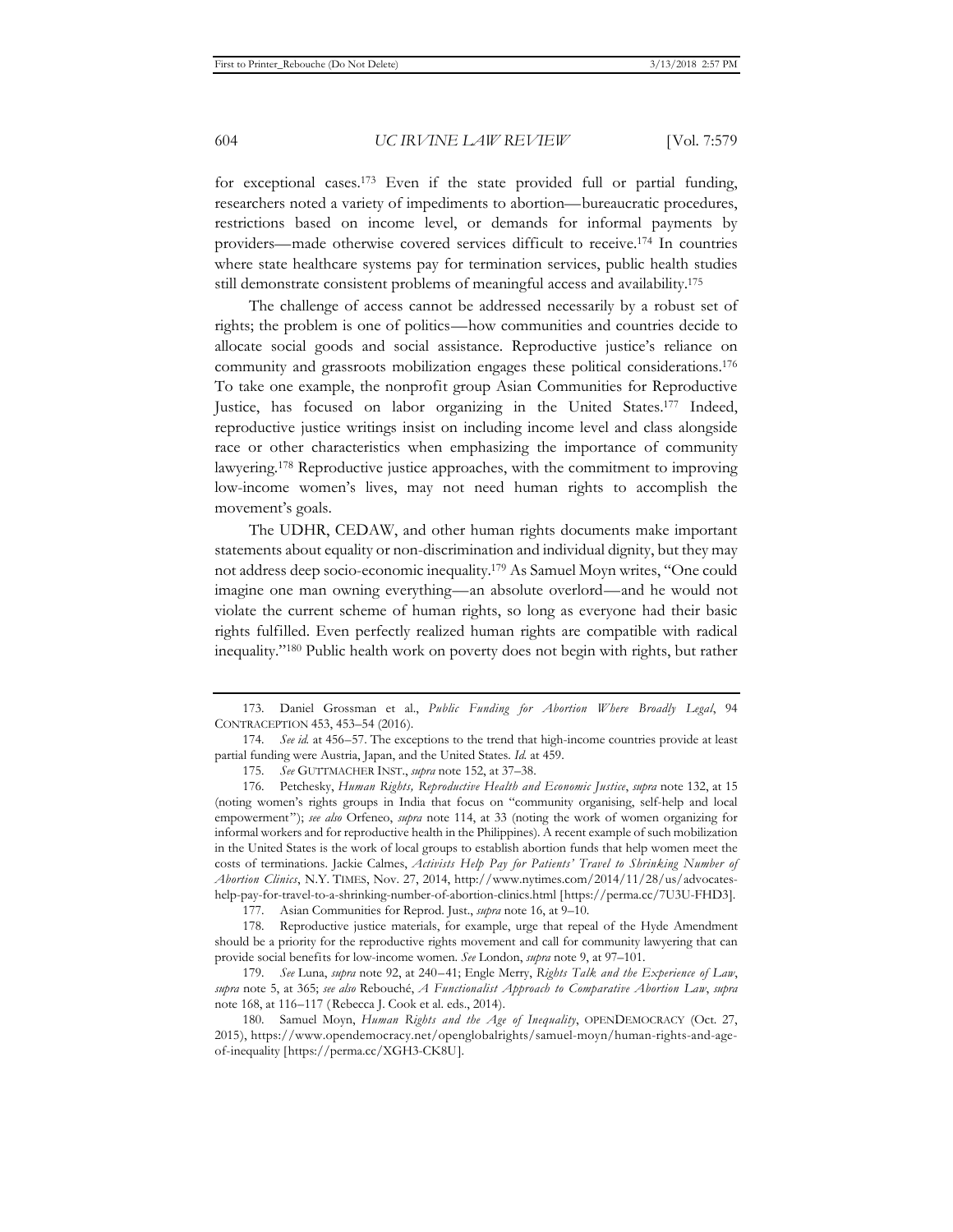for exceptional cases.173 Even if the state provided full or partial funding, researchers noted a variety of impediments to abortion—bureaucratic procedures, restrictions based on income level, or demands for informal payments by providers—made otherwise covered services difficult to receive.174 In countries where state healthcare systems pay for termination services, public health studies still demonstrate consistent problems of meaningful access and availability.175

The challenge of access cannot be addressed necessarily by a robust set of rights; the problem is one of politics—how communities and countries decide to allocate social goods and social assistance. Reproductive justice's reliance on community and grassroots mobilization engages these political considerations.176 To take one example, the nonprofit group Asian Communities for Reproductive Justice, has focused on labor organizing in the United States.177 Indeed, reproductive justice writings insist on including income level and class alongside race or other characteristics when emphasizing the importance of community lawyering.178 Reproductive justice approaches, with the commitment to improving low-income women's lives, may not need human rights to accomplish the movement's goals.

The UDHR, CEDAW, and other human rights documents make important statements about equality or non-discrimination and individual dignity, but they may not address deep socio-economic inequality.179 As Samuel Moyn writes, "One could imagine one man owning everything—an absolute overlord—and he would not violate the current scheme of human rights, so long as everyone had their basic rights fulfilled. Even perfectly realized human rights are compatible with radical inequality."180 Public health work on poverty does not begin with rights, but rather

177. Asian Communities for Reprod. Just., *supra* note 16, at 9–10.

178. Reproductive justice materials, for example, urge that repeal of the Hyde Amendment should be a priority for the reproductive rights movement and call for community lawyering that can provide social benefits for low-income women. *See* London, *supra* note 9, at 97–101.

179*. See* Luna, *supra* note 92, at 240–41; Engle Merry, *Rights Talk and the Experience of Law*, *supra* note 5, at 365; *see also* Rebouché, *A Functionalist Approach to Comparative Abortion Law*, *supra* note 168, at 116–117 ( Rebecca J. Cook et al. eds., 2014).

180. Samuel Moyn, *Human Rights and the Age of Inequality*, OPENDEMOCRACY (Oct. 27, 2015), https://www.opendemocracy.net/openglobalrights/samuel-moyn/human-rights-and-ageof-inequality [https://perma.cc/XGH3-CK8U].

<sup>173.</sup> Daniel Grossman et al., *Public Funding for Abortion Where Broadly Legal*, 94 CONTRACEPTION 453, 453–54 (2016).

<sup>174</sup>*. See id.* at 456–57. The exceptions to the trend that high-income countries provide at least partial funding were Austria, Japan, and the United States. *Id.* at 459.

<sup>175</sup>*. See* GUTTMACHER INST., *supra* note 152, at 37–38.

<sup>176.</sup> Petchesky, *Human Rights, Reproductive Health and Economic Justice*, *supra* note 132, at 15 (noting women's rights groups in India that focus on "community organising, self-help and local empowerment"); *see also* Orfeneo, *supra* note 114, at 33 (noting the work of women organizing for informal workers and for reproductive health in the Philippines). A recent example of such mobilization in the United States is the work of local groups to establish abortion funds that help women meet the costs of terminations. Jackie Calmes, *Activists Help Pay for Patients' Travel to Shrinking Number of Abortion Clinics*, N.Y. TIMES, Nov. 27, 2014, http://www.nytimes.com/2014/11/28/us/advocateshelp-pay-for-travel-to-a-shrinking-number-of-abortion-clinics.html [https://perma.cc/7U3U-FHD3].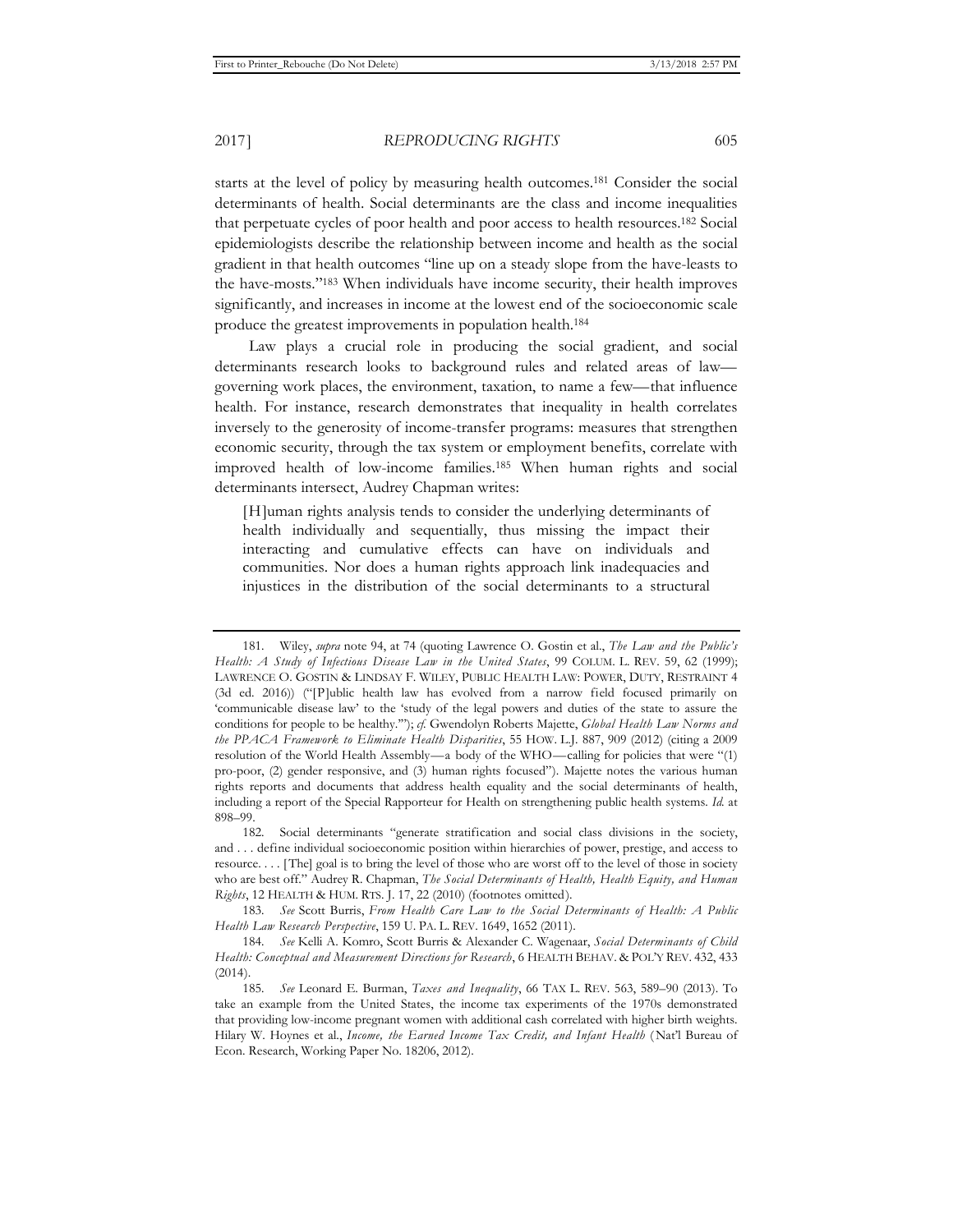starts at the level of policy by measuring health outcomes.181 Consider the social determinants of health. Social determinants are the class and income inequalities that perpetuate cycles of poor health and poor access to health resources.182 Social epidemiologists describe the relationship between income and health as the social gradient in that health outcomes "line up on a steady slope from the have-leasts to the have-mosts."183 When individuals have income security, their health improves significantly, and increases in income at the lowest end of the socioeconomic scale produce the greatest improvements in population health.184

Law plays a crucial role in producing the social gradient, and social determinants research looks to background rules and related areas of law governing work places, the environment, taxation, to name a few—that influence health. For instance, research demonstrates that inequality in health correlates inversely to the generosity of income-transfer programs: measures that strengthen economic security, through the tax system or employment benefits, correlate with improved health of low-income families.185 When human rights and social determinants intersect, Audrey Chapman writes:

[H]uman rights analysis tends to consider the underlying determinants of health individually and sequentially, thus missing the impact their interacting and cumulative effects can have on individuals and communities. Nor does a human rights approach link inadequacies and injustices in the distribution of the social determinants to a structural

183*. See* Scott Burris, *From Health Care Law to the Social Determinants of Health: A Public Health Law Research Perspective*, 159 U. PA. L. REV. 1649, 1652 (2011).

<sup>181.</sup> Wiley, *supra* note 94, at 74 (quoting Lawrence O. Gostin et al., *The Law and the Public's Health: A Study of Infectious Disease Law in the United States*, 99 COLUM. L. REV. 59, 62 (1999); LAWRENCE O. GOSTIN & LINDSAY F. WILEY, PUBLIC HEALTH LAW: POWER, DUTY, RESTRAINT 4 (3d ed. 2016)) ("[P]ublic health law has evolved from a narrow field focused primarily on 'communicable disease law' to the 'study of the legal powers and duties of the state to assure the conditions for people to be healthy.'"); *cf.* Gwendolyn Roberts Majette, *Global Health Law Norms and the PPACA Framework to Eliminate Health Disparities*, 55 HOW. L.J. 887, 909 (2012) (citing a 2009 resolution of the World Health Assembly—a body of the WHO—calling for policies that were "(1) pro-poor, (2) gender responsive, and (3) human rights focused"). Majette notes the various human rights reports and documents that address health equality and the social determinants of health, including a report of the Special Rapporteur for Health on strengthening public health systems. *Id.* at 898–99.

<sup>182.</sup> Social determinants "generate stratification and social class divisions in the society, and . . . define individual socioeconomic position within hierarchies of power, prestige, and access to resource. . . . [ The] goal is to bring the level of those who are worst off to the level of those in society who are best off." Audrey R. Chapman, *The Social Determinants of Health, Health Equity, and Human Rights*, 12 HEALTH & HUM. RTS. J. 17, 22 (2010) (footnotes omitted).

<sup>184</sup>*. See* Kelli A. Komro, Scott Burris & Alexander C. Wagenaar, *Social Determinants of Child Health: Conceptual and Measurement Directions for Research*, 6 HEALTH BEHAV. & POL'Y REV. 432, 433 (2014).

<sup>185</sup>*. See* Leonard E. Burman, *Taxes and Inequality*, 66 TAX L. REV. 563, 589–90 (2013). To take an example from the United States, the income tax experiments of the 1970s demonstrated that providing low-income pregnant women with additional cash correlated with higher birth weights. Hilary W. Hoynes et al., *Income, the Earned Income Tax Credit, and Infant Health* ( Nat'l Bureau of Econ. Research, Working Paper No. 18206, 2012).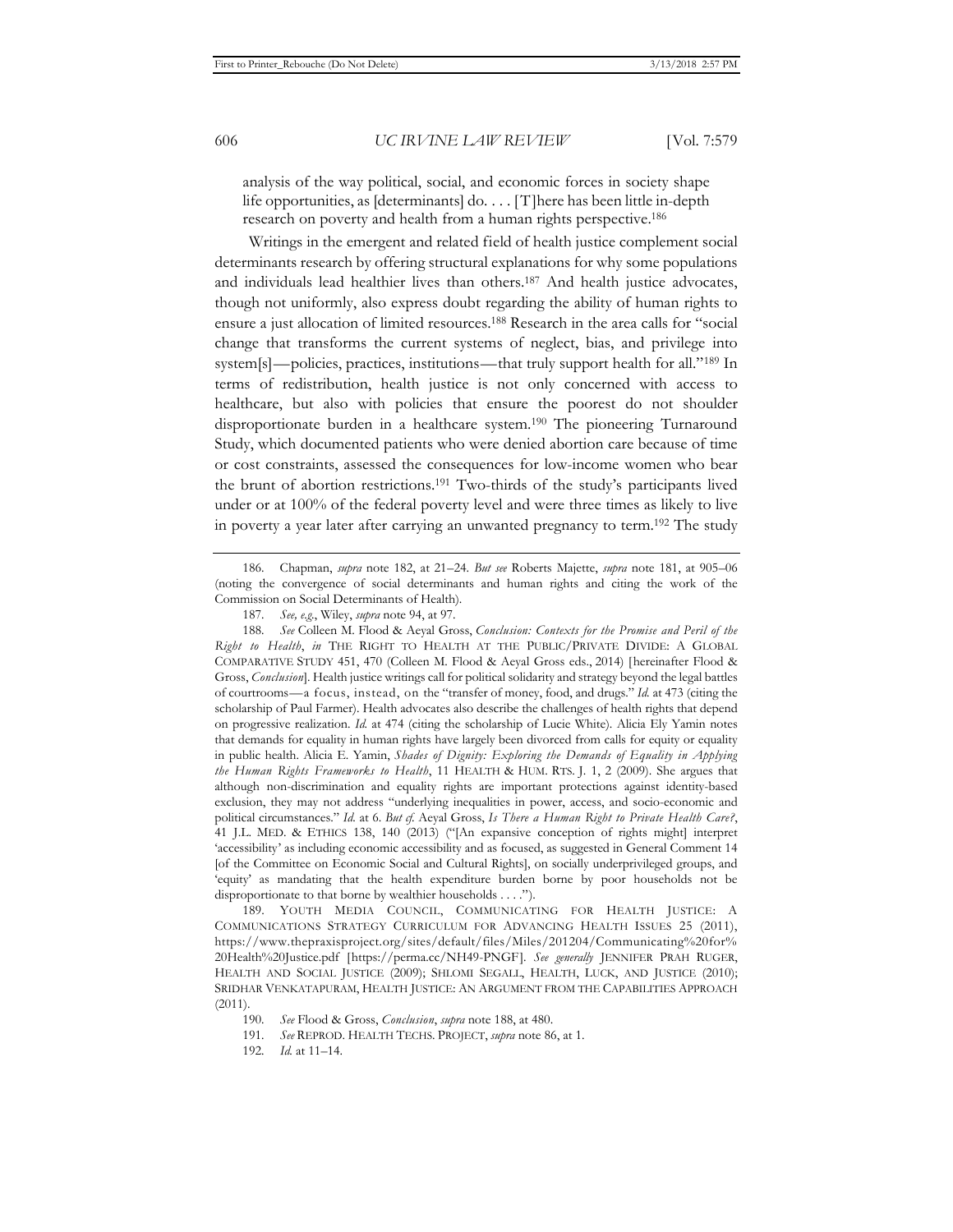analysis of the way political, social, and economic forces in society shape life opportunities, as [determinants] do. . . . [T]here has been little in-depth research on poverty and health from a human rights perspective.186

Writings in the emergent and related field of health justice complement social determinants research by offering structural explanations for why some populations and individuals lead healthier lives than others.187 And health justice advocates, though not uniformly, also express doubt regarding the ability of human rights to ensure a just allocation of limited resources.188 Research in the area calls for "social change that transforms the current systems of neglect, bias, and privilege into system[s]—policies, practices, institutions—that truly support health for all."189 In terms of redistribution, health justice is not only concerned with access to healthcare, but also with policies that ensure the poorest do not shoulder disproportionate burden in a healthcare system.190 The pioneering Turnaround Study, which documented patients who were denied abortion care because of time or cost constraints, assessed the consequences for low-income women who bear the brunt of abortion restrictions.191 Two-thirds of the study's participants lived under or at 100% of the federal poverty level and were three times as likely to live in poverty a year later after carrying an unwanted pregnancy to term.192 The study

188*. See* Colleen M. Flood & Aeyal Gross, *Conclusion: Contexts for the Promise and Peril of the Right to Health*, *in* THE RIGHT TO HEALTH AT THE PUBLIC/PRIVATE DIVIDE: A GLOBAL COMPARATIVE STUDY 451, 470 (Colleen M. Flood & Aeyal Gross eds., 2014) [hereinafter Flood & Gross, *Conclusion*]. Health justice writings call for political solidarity and strategy beyond the legal battles of courtrooms—a focus, instead, on the "transfer of money, food, and drugs." *Id.* at 473 (citing the scholarship of Paul Farmer). Health advocates also describe the challenges of health rights that depend on progressive realization. *Id.* at 474 (citing the scholarship of Lucie White). Alicia Ely Yamin notes that demands for equality in human rights have largely been divorced from calls for equity or equality in public health. Alicia E. Yamin, *Shades of Dignity: Exploring the Demands of Equality in Applying the Human Rights Frameworks to Health*, 11 HEALTH & HUM. RTS. J. 1, 2 (2009). She argues that although non-discrimination and equality rights are important protections against identity-based exclusion, they may not address "underlying inequalities in power, access, and socio-economic and political circumstances." *Id.* at 6. *But cf.* Aeyal Gross, *Is There a Human Right to Private Health Care?*, 41 J.L. MED. & ETHICS 138, 140 (2013) ("[An expansive conception of rights might] interpret 'accessibility' as including economic accessibility and as focused, as suggested in General Comment 14 [of the Committee on Economic Social and Cultural Rights], on socially underprivileged groups, and 'equity' as mandating that the health expenditure burden borne by poor households not be disproportionate to that borne by wealthier households . . . .").

189. YOUTH MEDIA COUNCIL, COMMUNICATING FOR HEALTH JUSTICE: A COMMUNICATIONS STRATEGY CURRICULUM FOR ADVANCING HEALTH ISSUES 25 (2011), https://www.thepraxisproject.org/sites/default/files/Miles/201204/Communicating%20for% 20Health%20Justice.pdf [https://perma.cc/NH49-PNGF]. *See generally* JENNIFER PRAH RUGER, HEALTH AND SOCIAL JUSTICE (2009); SHLOMI SEGALL, HEALTH, LUCK, AND JUSTICE (2010); SRIDHAR VENKATAPURAM, HEALTH JUSTICE: AN ARGUMENT FROM THE CAPABILITIES APPROACH (2011).

<sup>186.</sup> Chapman, *supra* note 182, at 21–24. *But see* Roberts Majette, *supra* note 181, at 905–06 (noting the convergence of social determinants and human rights and citing the work of the Commission on Social Determinants of Health).

<sup>187</sup>*. See, e.g.*, Wiley, *supra* note 94, at 97.

<sup>190</sup>*. See* Flood & Gross, *Conclusion*, *supra* note 188, at 480.

<sup>191</sup>*. See* REPROD. HEALTH TECHS. PROJECT, *supra* note 86, at 1.

<sup>192</sup>*. Id.* at 11–14.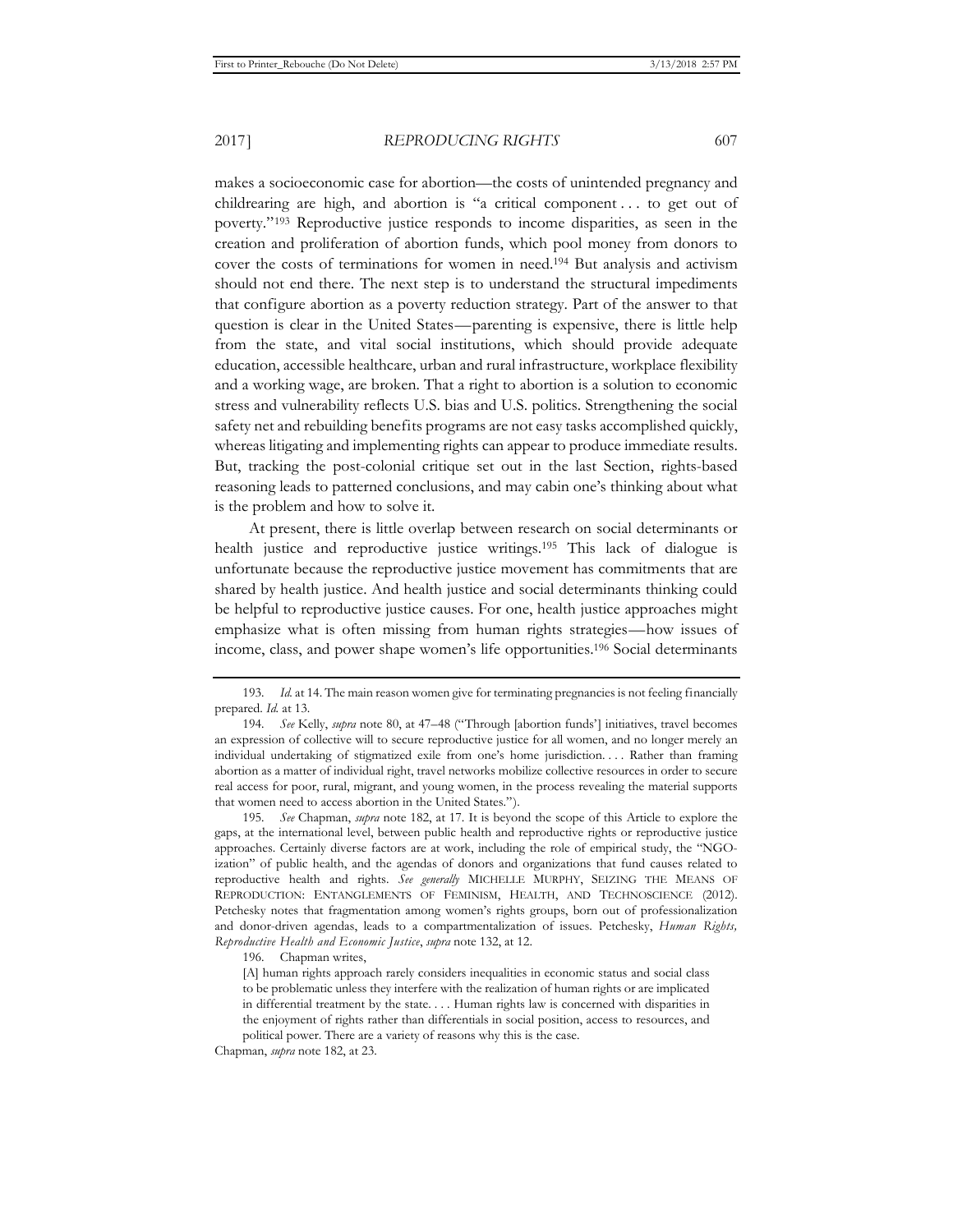makes a socioeconomic case for abortion—the costs of unintended pregnancy and childrearing are high, and abortion is "a critical component . . . to get out of poverty."193 Reproductive justice responds to income disparities, as seen in the creation and proliferation of abortion funds, which pool money from donors to cover the costs of terminations for women in need.194 But analysis and activism should not end there. The next step is to understand the structural impediments that configure abortion as a poverty reduction strategy. Part of the answer to that question is clear in the United States—parenting is expensive, there is little help from the state, and vital social institutions, which should provide adequate education, accessible healthcare, urban and rural infrastructure, workplace flexibility and a working wage, are broken. That a right to abortion is a solution to economic stress and vulnerability reflects U.S. bias and U.S. politics. Strengthening the social safety net and rebuilding benefits programs are not easy tasks accomplished quickly, whereas litigating and implementing rights can appear to produce immediate results. But, tracking the post-colonial critique set out in the last Section, rights-based reasoning leads to patterned conclusions, and may cabin one's thinking about what is the problem and how to solve it.

At present, there is little overlap between research on social determinants or health justice and reproductive justice writings.195 This lack of dialogue is unfortunate because the reproductive justice movement has commitments that are shared by health justice. And health justice and social determinants thinking could be helpful to reproductive justice causes. For one, health justice approaches might emphasize what is often missing from human rights strategies—how issues of income, class, and power shape women's life opportunities.196 Social determinants

195*. See* Chapman, *supra* note 182, at 17. It is beyond the scope of this Article to explore the gaps, at the international level, between public health and reproductive rights or reproductive justice approaches. Certainly diverse factors are at work, including the role of empirical study, the "NGOization" of public health, and the agendas of donors and organizations that fund causes related to reproductive health and rights. *See generally* MICHELLE MURPHY, SEIZING THE MEANS OF REPRODUCTION: ENTANGLEMENTS OF FEMINISM, HEALTH, AND TECHNOSCIENCE (2012). Petchesky notes that fragmentation among women's rights groups, born out of professionalization and donor-driven agendas, leads to a compartmentalization of issues. Petchesky, *Human Rights, Reproductive Health and Economic Justice*, *supra* note 132, at 12.

196. Chapman writes,

[A] human rights approach rarely considers inequalities in economic status and social class to be problematic unless they interfere with the realization of human rights or are implicated in differential treatment by the state. . . . Human rights law is concerned with disparities in the enjoyment of rights rather than differentials in social position, access to resources, and political power. There are a variety of reasons why this is the case.

Chapman, *supra* note 182, at 23.

<sup>193</sup>*. Id.* at 14. The main reason women give for terminating pregnancies is not feeling financially prepared. *Id.* at 13.

<sup>194</sup>*. See* Kelly, *supra* note 80, at 47–48 ("Through [abortion funds'] initiatives, travel becomes an expression of collective will to secure reproductive justice for all women, and no longer merely an individual undertaking of stigmatized exile from one's home jurisdiction. . . . Rather than framing abortion as a matter of individual right, travel networks mobilize collective resources in order to secure real access for poor, rural, migrant, and young women, in the process revealing the material supports that women need to access abortion in the United States.").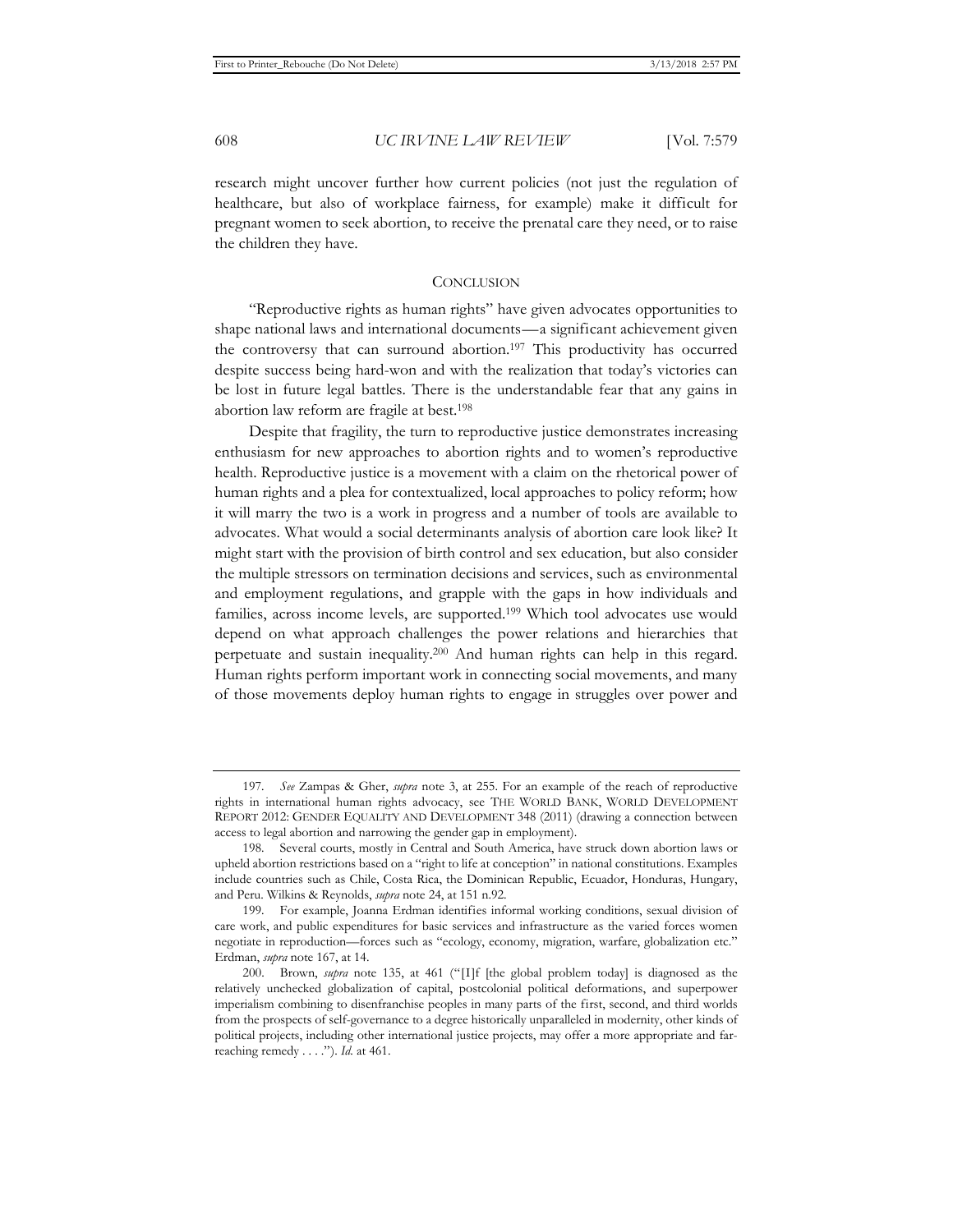research might uncover further how current policies (not just the regulation of healthcare, but also of workplace fairness, for example) make it difficult for pregnant women to seek abortion, to receive the prenatal care they need, or to raise the children they have.

# **CONCLUSION**

"Reproductive rights as human rights" have given advocates opportunities to shape national laws and international documents—a significant achievement given the controversy that can surround abortion.197 This productivity has occurred despite success being hard-won and with the realization that today's victories can be lost in future legal battles. There is the understandable fear that any gains in abortion law reform are fragile at best.198

Despite that fragility, the turn to reproductive justice demonstrates increasing enthusiasm for new approaches to abortion rights and to women's reproductive health. Reproductive justice is a movement with a claim on the rhetorical power of human rights and a plea for contextualized, local approaches to policy reform; how it will marry the two is a work in progress and a number of tools are available to advocates. What would a social determinants analysis of abortion care look like? It might start with the provision of birth control and sex education, but also consider the multiple stressors on termination decisions and services, such as environmental and employment regulations, and grapple with the gaps in how individuals and families, across income levels, are supported.199 Which tool advocates use would depend on what approach challenges the power relations and hierarchies that perpetuate and sustain inequality.200 And human rights can help in this regard. Human rights perform important work in connecting social movements, and many of those movements deploy human rights to engage in struggles over power and

<sup>197</sup>*. See* Zampas & Gher, *supra* note 3, at 255. For an example of the reach of reproductive rights in international human rights advocacy, see THE WORLD BANK, WORLD DEVELOPMENT REPORT 2012: GENDER EQUALITY AND DEVELOPMENT 348 (2011) (drawing a connection between access to legal abortion and narrowing the gender gap in employment).

<sup>198.</sup> Several courts, mostly in Central and South America, have struck down abortion laws or upheld abortion restrictions based on a "right to life at conception" in national constitutions. Examples include countries such as Chile, Costa Rica, the Dominican Republic, Ecuador, Honduras, Hungary, and Peru. Wilkins & Reynolds, *supra* note 24, at 151 n.92.

<sup>199.</sup> For example, Joanna Erdman identifies informal working conditions, sexual division of care work, and public expenditures for basic services and infrastructure as the varied forces women negotiate in reproduction—forces such as "ecology, economy, migration, warfare, globalization etc." Erdman, *supra* note 167, at 14.

<sup>200.</sup> Brown, *supra* note 135, at 461 ("[I]f [the global problem today] is diagnosed as the relatively unchecked globalization of capital, postcolonial political deformations, and superpower imperialism combining to disenfranchise peoples in many parts of the first, second, and third worlds from the prospects of self-governance to a degree historically unparalleled in modernity, other kinds of political projects, including other international justice projects, may offer a more appropriate and farreaching remedy . . . ."). *Id.* at 461.